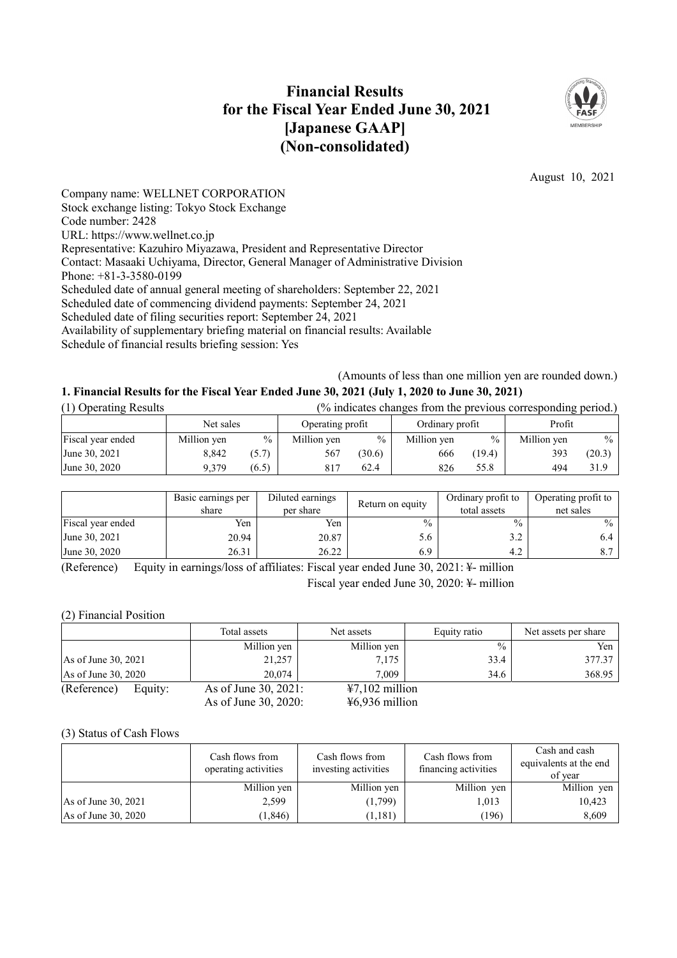# **Financial Results for the Fiscal Year Ended June 30, 2021 [Japanese GAAP] (Non-consolidated)**



August 10, 2021

Company name: WELLNET CORPORATION Stock exchange listing: Tokyo Stock Exchange Code number: 2428 URL: https://www.wellnet.co.jp Representative: Kazuhiro Miyazawa, President and Representative Director Contact: Masaaki Uchiyama, Director, General Manager of Administrative Division Phone: +81-3-3580-0199 Scheduled date of annual general meeting of shareholders: September 22, 2021 Scheduled date of commencing dividend payments: September 24, 2021 Scheduled date of filing securities report: September 24, 2021 Availability of supplementary briefing material on financial results: Available Schedule of financial results briefing session: Yes

(Amounts of less than one million yen are rounded down.)

## **1. Financial Results for the Fiscal Year Ended June 30, 2021 (July 1, 2020 to June 30, 2021)**

| (1) Operating Results |             | (% indicates changes from the previous corresponding period.) |                  |               |                 |        |             |        |
|-----------------------|-------------|---------------------------------------------------------------|------------------|---------------|-----------------|--------|-------------|--------|
|                       | Net sales   |                                                               | Operating profit |               | Ordinary profit |        | Profit      |        |
| Fiscal year ended     | Million yen | $\%$                                                          | Million yen      | $\frac{0}{0}$ | Million yen     | $\%$   | Million yen | $\%$   |
| June 30, 2021         | 8.842       | (5.7)                                                         | 567              | (30.6)        | 666             | (19.4) | 393         | (20.3) |
| June 30, 2020         | 9.379       | (6.5)                                                         | 817              | 62.4          | 826             | 55.8   | 494         | 31.9   |

|                   | Basic earnings per<br>share | Diluted earnings<br>per share | Return on equity | Ordinary profit to<br>total assets | Operating profit to<br>net sales |
|-------------------|-----------------------------|-------------------------------|------------------|------------------------------------|----------------------------------|
| Fiscal year ended | Yen                         | Yen                           | $\frac{0}{0}$    | $\frac{0}{0}$                      | $\frac{0}{0}$                    |
| June 30, 2021     | 20.94                       | 20.87                         | 5.6              |                                    | 6.4                              |
| June 30, 2020     | 26.31                       | 26.22                         | 6.9              |                                    |                                  |

(Reference) Equity in earnings/loss of affiliates: Fiscal year ended June 30, 2021: ¥- million

Fiscal year ended June 30, 2020: ¥- million

(2) Financial Position

|                       |         | Total assets         | Net assets       | Equity ratio  | Net assets per share |
|-----------------------|---------|----------------------|------------------|---------------|----------------------|
|                       |         | Million yen          | Million yen      | $\frac{0}{0}$ | Yen                  |
| As of June 30, $2021$ |         | 21,257               | 7,175            | 33.4          | 377.37               |
| As of June 30, 2020   |         | 20,074               | 7.009            | 34.6          | 368.95               |
| (Reference)           | Equity: | As of June 30, 2021: | $47,102$ million |               |                      |
|                       |         | As of June 30, 2020: | $46,936$ million |               |                      |

## (3) Status of Cash Flows

|                       | Cash flows from<br>operating activities | Cash flows from<br>investing activities | Cash flows from<br>financing activities | Cash and cash<br>equivalents at the end<br>of year |
|-----------------------|-----------------------------------------|-----------------------------------------|-----------------------------------------|----------------------------------------------------|
|                       | Million yen                             | Million yen                             | Million yen                             | Million yen                                        |
| As of June $30, 2021$ | 2,599                                   | (1,799)                                 | 1,013                                   | 10,423                                             |
| As of June 30, 2020   | (1, 846)                                | 1,181)                                  | (196)                                   | 8.609                                              |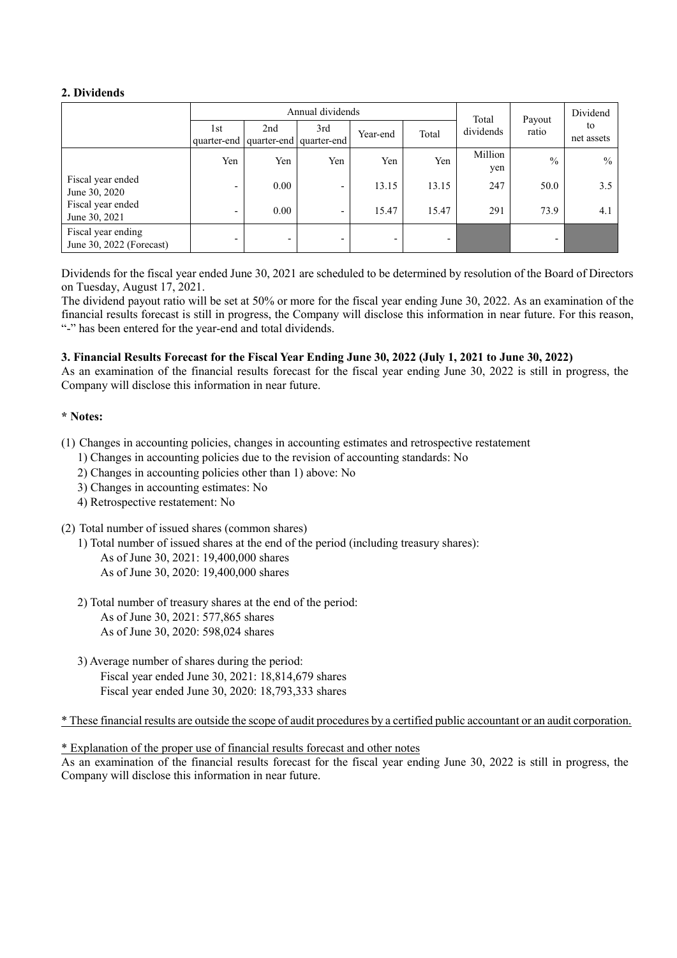## **2. Dividends**

|                                                |                          |                          | Annual dividends               | Total                    | Payout | Dividend       |               |                  |
|------------------------------------------------|--------------------------|--------------------------|--------------------------------|--------------------------|--------|----------------|---------------|------------------|
|                                                | 1st<br>quarter-end       | 2nd                      | 3rd<br>quarter-end quarter-end | Year-end                 | Total  | dividends      | ratio         | to<br>net assets |
|                                                | Yen                      | Yen                      | Yen                            | Yen                      | Yen    | Million<br>yen | $\frac{0}{0}$ | $\frac{0}{0}$    |
| Fiscal year ended<br>June 30, 2020             | -                        | 0.00                     | $\overline{\phantom{0}}$       | 13.15                    | 13.15  | 247            | 50.0          | 3.5              |
| Fiscal year ended<br>June 30, 2021             | $\overline{\phantom{0}}$ | 0.00                     | $\overline{\phantom{0}}$       | 15.47                    | 15.47  | 291            | 73.9          | 4.1              |
| Fiscal year ending<br>June 30, 2022 (Forecast) |                          | $\overline{\phantom{a}}$ | $\overline{\phantom{0}}$       | $\overline{\phantom{0}}$ | -      |                | ٠             |                  |

Dividends for the fiscal year ended June 30, 2021 are scheduled to be determined by resolution of the Board of Directors on Tuesday, August 17, 2021.

The dividend payout ratio will be set at 50% or more for the fiscal year ending June 30, 2022. As an examination of the financial results forecast is still in progress, the Company will disclose this information in near future. For this reason, "-" has been entered for the year-end and total dividends.

## **3. Financial Results Forecast for the Fiscal Year Ending June 30, 2022 (July 1, 2021 to June 30, 2022)**

As an examination of the financial results forecast for the fiscal year ending June 30, 2022 is still in progress, the Company will disclose this information in near future.

## **\* Notes:**

- (1) Changes in accounting policies, changes in accounting estimates and retrospective restatement
	- 1) Changes in accounting policies due to the revision of accounting standards: No
	- 2) Changes in accounting policies other than 1) above: No
	- 3) Changes in accounting estimates: No
	- 4) Retrospective restatement: No
- (2) Total number of issued shares (common shares)
	- 1) Total number of issued shares at the end of the period (including treasury shares):
		- As of June 30, 2021: 19,400,000 shares As of June 30, 2020: 19,400,000 shares
	- 2) Total number of treasury shares at the end of the period: As of June 30, 2021: 577,865 shares
		- As of June 30, 2020: 598,024 shares
	- 3) Average number of shares during the period: Fiscal year ended June 30, 2021: 18,814,679 shares Fiscal year ended June 30, 2020: 18,793,333 shares

\* These financial results are outside the scope of audit procedures by a certified public accountant or an audit corporation.

\* Explanation of the proper use of financial results forecast and other notes

As an examination of the financial results forecast for the fiscal year ending June 30, 2022 is still in progress, the Company will disclose this information in near future.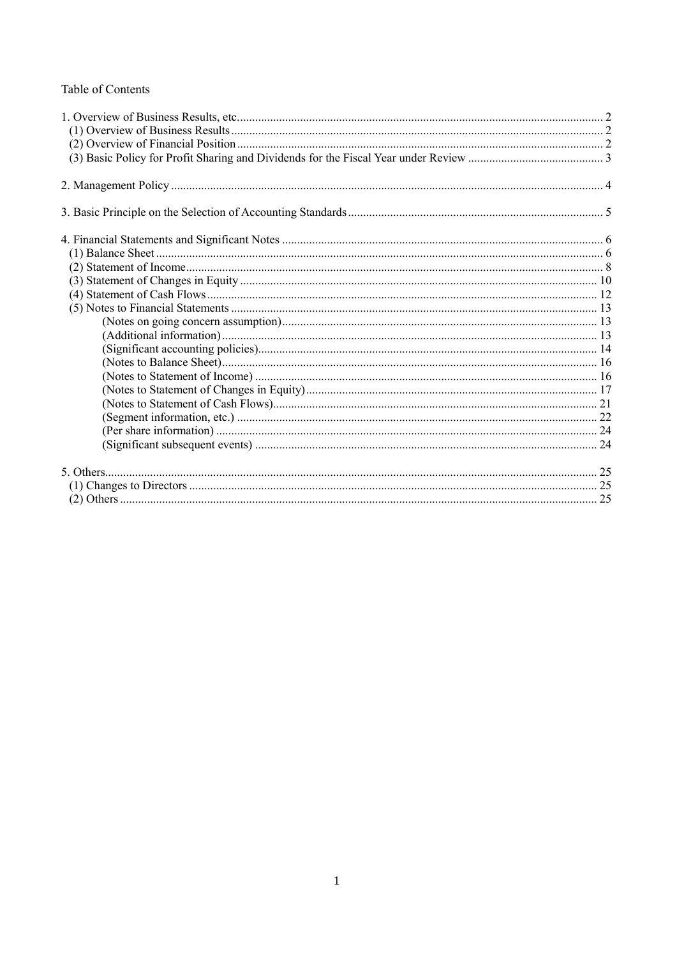## Table of Contents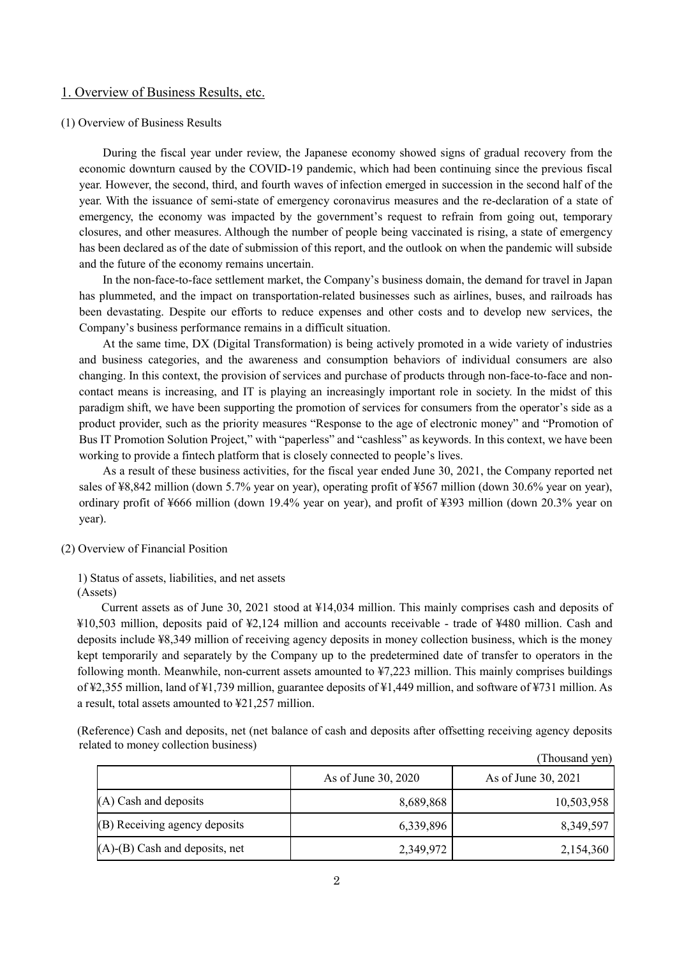## 1. Overview of Business Results, etc.

### (1) Overview of Business Results

During the fiscal year under review, the Japanese economy showed signs of gradual recovery from the economic downturn caused by the COVID-19 pandemic, which had been continuing since the previous fiscal year. However, the second, third, and fourth waves of infection emerged in succession in the second half of the year. With the issuance of semi-state of emergency coronavirus measures and the re-declaration of a state of emergency, the economy was impacted by the government's request to refrain from going out, temporary closures, and other measures. Although the number of people being vaccinated is rising, a state of emergency has been declared as of the date of submission of this report, and the outlook on when the pandemic will subside and the future of the economy remains uncertain.

In the non-face-to-face settlement market, the Company's business domain, the demand for travel in Japan has plummeted, and the impact on transportation-related businesses such as airlines, buses, and railroads has been devastating. Despite our efforts to reduce expenses and other costs and to develop new services, the Company's business performance remains in a difficult situation.

At the same time, DX (Digital Transformation) is being actively promoted in a wide variety of industries and business categories, and the awareness and consumption behaviors of individual consumers are also changing. In this context, the provision of services and purchase of products through non-face-to-face and noncontact means is increasing, and IT is playing an increasingly important role in society. In the midst of this paradigm shift, we have been supporting the promotion of services for consumers from the operator's side as a product provider, such as the priority measures "Response to the age of electronic money" and "Promotion of Bus IT Promotion Solution Project," with "paperless" and "cashless" as keywords. In this context, we have been working to provide a fintech platform that is closely connected to people's lives.

As a result of these business activities, for the fiscal year ended June 30, 2021, the Company reported net sales of ¥8,842 million (down 5.7% year on year), operating profit of ¥567 million (down 30.6% year on year), ordinary profit of ¥666 million (down 19.4% year on year), and profit of ¥393 million (down 20.3% year on year).

- (2) Overview of Financial Position
	- 1) Status of assets, liabilities, and net assets (Assets)

Current assets as of June 30, 2021 stood at ¥14,034 million. This mainly comprises cash and deposits of ¥10,503 million, deposits paid of ¥2,124 million and accounts receivable - trade of ¥480 million. Cash and deposits include ¥8,349 million of receiving agency deposits in money collection business, which is the money kept temporarily and separately by the Company up to the predetermined date of transfer to operators in the following month. Meanwhile, non-current assets amounted to ¥7,223 million. This mainly comprises buildings of ¥2,355 million, land of ¥1,739 million, guarantee deposits of ¥1,449 million, and software of ¥731 million. As a result, total assets amounted to ¥21,257 million.

(Reference) Cash and deposits, net (net balance of cash and deposits after offsetting receiving agency deposits related to money collection business)

|                                      | As of June 30, 2020 | As of June 30, 2021 |
|--------------------------------------|---------------------|---------------------|
| $(A)$ Cash and deposits              | 8,689,868           | 10,503,958          |
| (B) Receiving agency deposits        | 6,339,896           | 8,349,597           |
| $(A)$ - $(B)$ Cash and deposits, net | 2,349,972           | 2,154,360           |

(Thousand yen)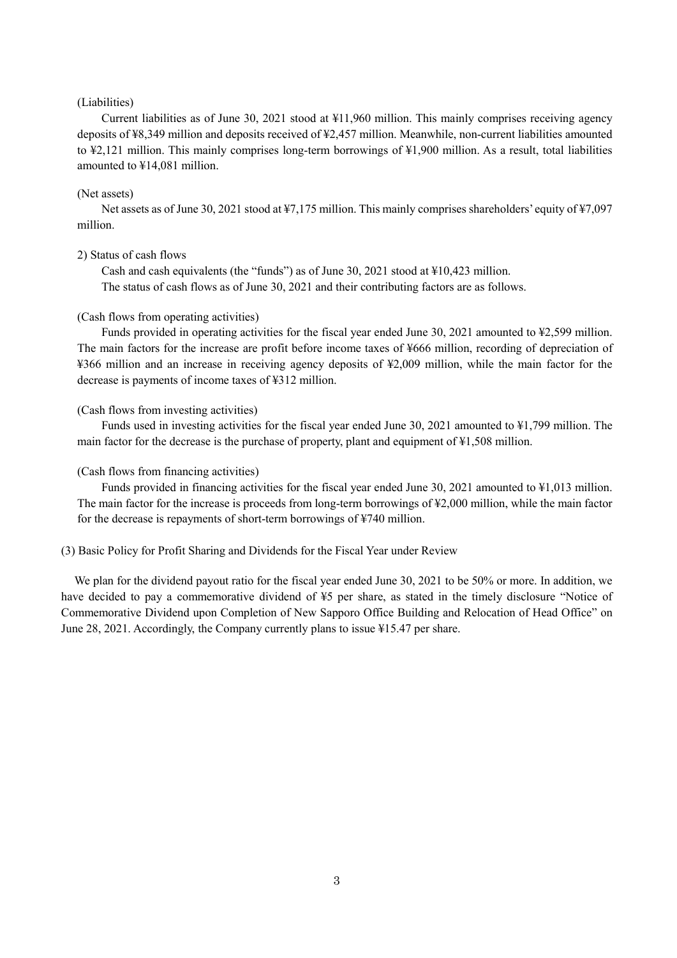#### (Liabilities)

Current liabilities as of June 30, 2021 stood at ¥11,960 million. This mainly comprises receiving agency deposits of ¥8,349 million and deposits received of ¥2,457 million. Meanwhile, non-current liabilities amounted to ¥2,121 million. This mainly comprises long-term borrowings of ¥1,900 million. As a result, total liabilities amounted to ¥14,081 million.

#### (Net assets)

Net assets as of June 30, 2021 stood at ¥7,175 million. This mainly comprises shareholders' equity of ¥7,097 million.

### 2) Status of cash flows

Cash and cash equivalents (the "funds") as of June 30, 2021 stood at ¥10,423 million. The status of cash flows as of June 30, 2021 and their contributing factors are as follows.

### (Cash flows from operating activities)

Funds provided in operating activities for the fiscal year ended June 30, 2021 amounted to ¥2,599 million. The main factors for the increase are profit before income taxes of ¥666 million, recording of depreciation of ¥366 million and an increase in receiving agency deposits of ¥2,009 million, while the main factor for the decrease is payments of income taxes of ¥312 million.

#### (Cash flows from investing activities)

Funds used in investing activities for the fiscal year ended June 30, 2021 amounted to ¥1,799 million. The main factor for the decrease is the purchase of property, plant and equipment of ¥1,508 million.

#### (Cash flows from financing activities)

Funds provided in financing activities for the fiscal year ended June 30, 2021 amounted to \\$1,013 million. The main factor for the increase is proceeds from long-term borrowings of ¥2,000 million, while the main factor for the decrease is repayments of short-term borrowings of ¥740 million.

#### (3) Basic Policy for Profit Sharing and Dividends for the Fiscal Year under Review

We plan for the dividend payout ratio for the fiscal year ended June 30, 2021 to be 50% or more. In addition, we have decided to pay a commemorative dividend of ¥5 per share, as stated in the timely disclosure "Notice of Commemorative Dividend upon Completion of New Sapporo Office Building and Relocation of Head Office" on June 28, 2021. Accordingly, the Company currently plans to issue ¥15.47 per share.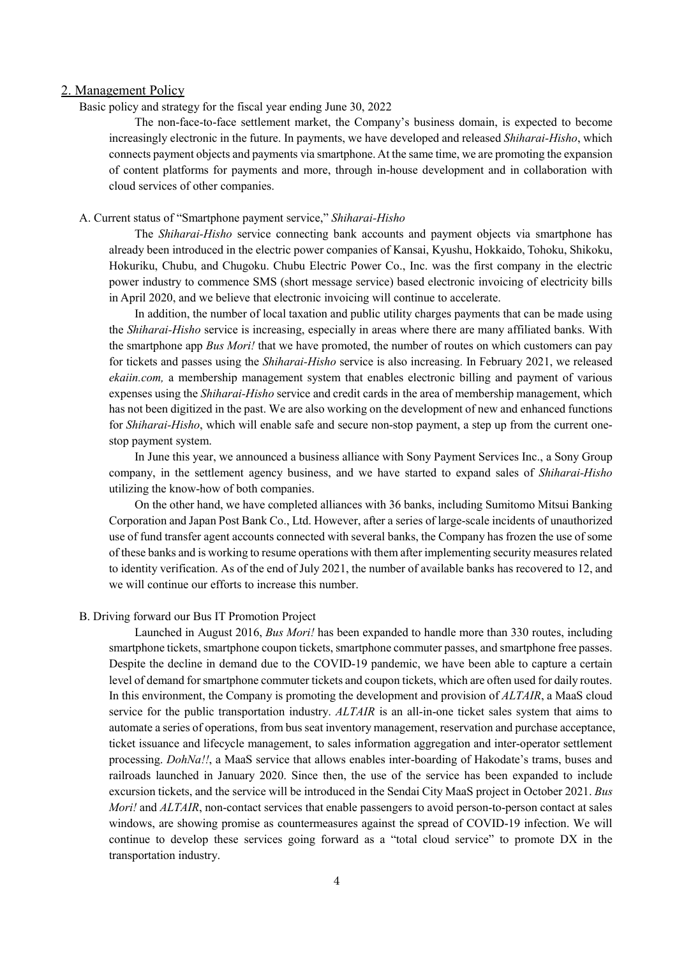### 2. Management Policy

Basic policy and strategy for the fiscal year ending June 30, 2022

The non-face-to-face settlement market, the Company's business domain, is expected to become increasingly electronic in the future. In payments, we have developed and released *Shiharai-Hisho*, which connects payment objects and payments via smartphone. At the same time, we are promoting the expansion of content platforms for payments and more, through in-house development and in collaboration with cloud services of other companies.

### A. Current status of "Smartphone payment service," *Shiharai-Hisho*

The *Shiharai-Hisho* service connecting bank accounts and payment objects via smartphone has already been introduced in the electric power companies of Kansai, Kyushu, Hokkaido, Tohoku, Shikoku, Hokuriku, Chubu, and Chugoku. Chubu Electric Power Co., Inc. was the first company in the electric power industry to commence SMS (short message service) based electronic invoicing of electricity bills in April 2020, and we believe that electronic invoicing will continue to accelerate.

In addition, the number of local taxation and public utility charges payments that can be made using the *Shiharai-Hisho* service is increasing, especially in areas where there are many affiliated banks. With the smartphone app *Bus Mori!* that we have promoted, the number of routes on which customers can pay for tickets and passes using the *Shiharai-Hisho* service is also increasing. In February 2021, we released *ekaiin.com,* a membership management system that enables electronic billing and payment of various expenses using the *Shiharai-Hisho* service and credit cards in the area of membership management, which has not been digitized in the past. We are also working on the development of new and enhanced functions for *Shiharai-Hisho*, which will enable safe and secure non-stop payment, a step up from the current onestop payment system.

In June this year, we announced a business alliance with Sony Payment Services Inc., a Sony Group company, in the settlement agency business, and we have started to expand sales of *Shiharai-Hisho* utilizing the know-how of both companies.

On the other hand, we have completed alliances with 36 banks, including Sumitomo Mitsui Banking Corporation and Japan Post Bank Co., Ltd. However, after a series of large-scale incidents of unauthorized use of fund transfer agent accounts connected with several banks, the Company has frozen the use of some of these banks and is working to resume operations with them after implementing security measures related to identity verification. As of the end of July 2021, the number of available banks has recovered to 12, and we will continue our efforts to increase this number.

#### B. Driving forward our Bus IT Promotion Project

Launched in August 2016, *Bus Mori!* has been expanded to handle more than 330 routes, including smartphone tickets, smartphone coupon tickets, smartphone commuter passes, and smartphone free passes. Despite the decline in demand due to the COVID-19 pandemic, we have been able to capture a certain level of demand for smartphone commuter tickets and coupon tickets, which are often used for daily routes. In this environment, the Company is promoting the development and provision of *ALTAIR*, a MaaS cloud service for the public transportation industry. *ALTAIR* is an all-in-one ticket sales system that aims to automate a series of operations, from bus seat inventory management, reservation and purchase acceptance, ticket issuance and lifecycle management, to sales information aggregation and inter-operator settlement processing. *DohNa!!*, a MaaS service that allows enables inter-boarding of Hakodate's trams, buses and railroads launched in January 2020. Since then, the use of the service has been expanded to include excursion tickets, and the service will be introduced in the Sendai City MaaS project in October 2021. *Bus Mori!* and *ALTAIR*, non-contact services that enable passengers to avoid person-to-person contact at sales windows, are showing promise as countermeasures against the spread of COVID-19 infection. We will continue to develop these services going forward as a "total cloud service" to promote DX in the transportation industry.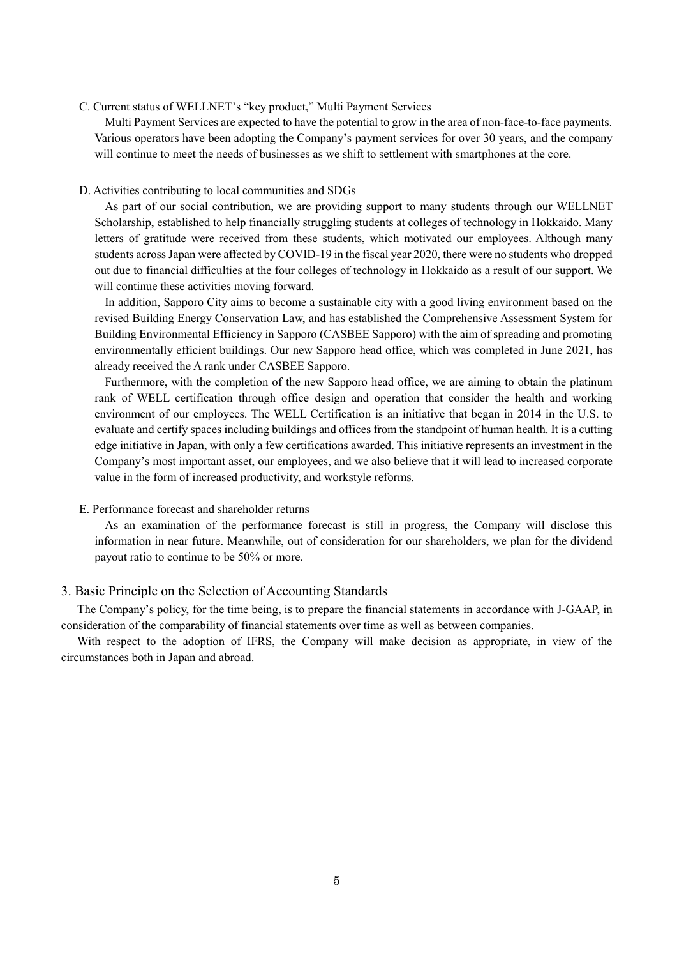## C. Current status of WELLNET's "key product," Multi Payment Services

Multi Payment Services are expected to have the potential to grow in the area of non-face-to-face payments. Various operators have been adopting the Company's payment services for over 30 years, and the company will continue to meet the needs of businesses as we shift to settlement with smartphones at the core.

#### D. Activities contributing to local communities and SDGs

As part of our social contribution, we are providing support to many students through our WELLNET Scholarship, established to help financially struggling students at colleges of technology in Hokkaido. Many letters of gratitude were received from these students, which motivated our employees. Although many students across Japan were affected by COVID-19 in the fiscal year 2020, there were no students who dropped out due to financial difficulties at the four colleges of technology in Hokkaido as a result of our support. We will continue these activities moving forward.

In addition, Sapporo City aims to become a sustainable city with a good living environment based on the revised Building Energy Conservation Law, and has established the Comprehensive Assessment System for Building Environmental Efficiency in Sapporo (CASBEE Sapporo) with the aim of spreading and promoting environmentally efficient buildings. Our new Sapporo head office, which was completed in June 2021, has already received the A rank under CASBEE Sapporo.

Furthermore, with the completion of the new Sapporo head office, we are aiming to obtain the platinum rank of WELL certification through office design and operation that consider the health and working environment of our employees. The WELL Certification is an initiative that began in 2014 in the U.S. to evaluate and certify spaces including buildings and offices from the standpoint of human health. It is a cutting edge initiative in Japan, with only a few certifications awarded. This initiative represents an investment in the Company's most important asset, our employees, and we also believe that it will lead to increased corporate value in the form of increased productivity, and workstyle reforms.

#### E. Performance forecast and shareholder returns

As an examination of the performance forecast is still in progress, the Company will disclose this information in near future. Meanwhile, out of consideration for our shareholders, we plan for the dividend payout ratio to continue to be 50% or more.

## 3. Basic Principle on the Selection of Accounting Standards

The Company's policy, for the time being, is to prepare the financial statements in accordance with J-GAAP, in consideration of the comparability of financial statements over time as well as between companies.

With respect to the adoption of IFRS, the Company will make decision as appropriate, in view of the circumstances both in Japan and abroad.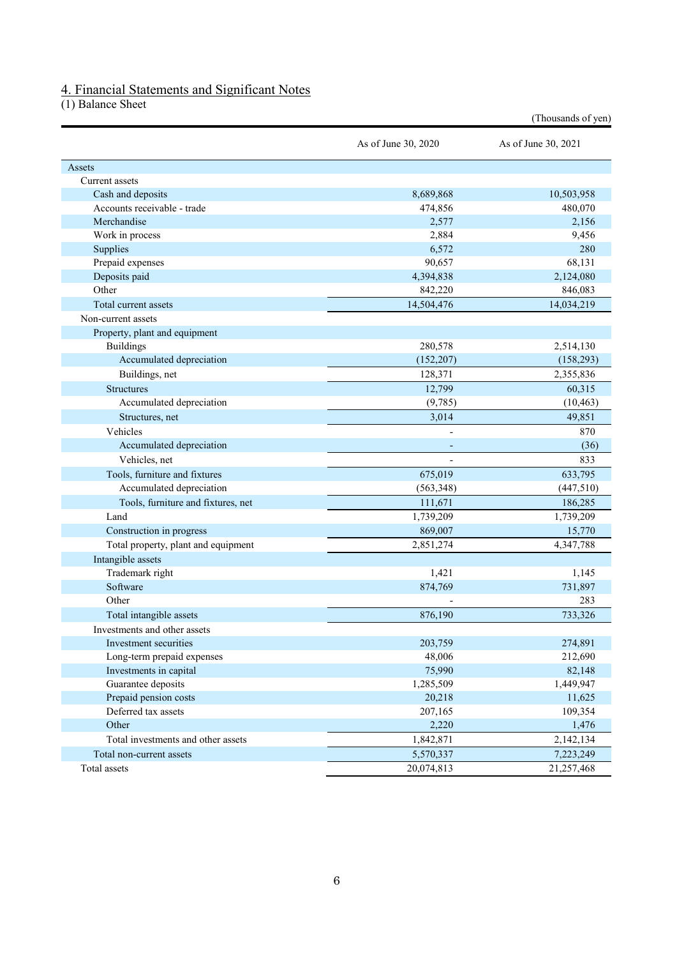## 4. Financial Statements and Significant Notes

(1) Balance Sheet

|                                     |                     | (Thousands of yen)  |
|-------------------------------------|---------------------|---------------------|
|                                     | As of June 30, 2020 | As of June 30, 2021 |
| Assets                              |                     |                     |
| Current assets                      |                     |                     |
| Cash and deposits                   | 8,689,868           | 10,503,958          |
| Accounts receivable - trade         | 474,856             | 480,070             |
| Merchandise                         | 2,577               | 2,156               |
| Work in process                     | 2,884               | 9,456               |
| Supplies                            | 6,572               | 280                 |
| Prepaid expenses                    | 90,657              | 68,131              |
| Deposits paid                       | 4,394,838           | 2,124,080           |
| Other                               | 842,220             | 846,083             |
| Total current assets                | 14,504,476          | 14,034,219          |
| Non-current assets                  |                     |                     |
| Property, plant and equipment       |                     |                     |
| <b>Buildings</b>                    | 280,578             | 2,514,130           |
| Accumulated depreciation            | (152, 207)          | (158, 293)          |
| Buildings, net                      | 128,371             | 2,355,836           |
| <b>Structures</b>                   | 12,799              | 60,315              |
| Accumulated depreciation            | (9,785)             | (10, 463)           |
| Structures, net                     | 3,014               | 49,851              |
| Vehicles                            |                     | 870                 |
| Accumulated depreciation            |                     | (36)                |
| Vehicles, net                       |                     | 833                 |
| Tools, furniture and fixtures       | 675,019             | 633,795             |
| Accumulated depreciation            | (563, 348)          | (447,510)           |
| Tools, furniture and fixtures, net  | 111,671             | 186,285             |
| Land                                | 1,739,209           | 1,739,209           |
| Construction in progress            | 869,007             | 15,770              |
| Total property, plant and equipment | 2,851,274           | 4,347,788           |
| Intangible assets                   |                     |                     |
| Trademark right                     | 1,421               | 1,145               |
| Software                            | 874,769             | 731,897             |
| Other                               |                     | 283                 |
|                                     |                     | 733,326             |
| Total intangible assets             | 876,190             |                     |
| Investments and other assets        |                     |                     |
| Investment securities               | 203,759             | 274,891             |
| Long-term prepaid expenses          | 48,006              | 212,690             |
| Investments in capital              | 75,990              | 82,148              |
| Guarantee deposits                  | 1,285,509           | 1,449,947           |
| Prepaid pension costs               | 20,218              | 11,625              |
| Deferred tax assets                 | 207,165             | 109,354             |
| Other                               | 2,220               | 1,476               |
| Total investments and other assets  | 1,842,871           | 2,142,134           |
| Total non-current assets            | 5,570,337           | 7,223,249           |
| Total assets                        | 20,074,813          | 21,257,468          |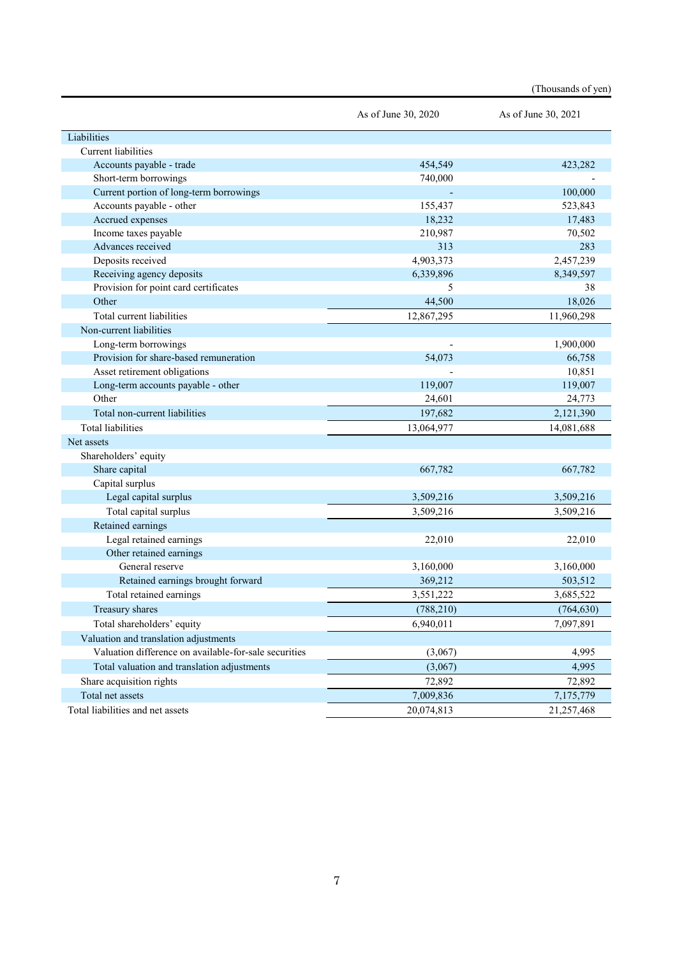|                                                       |                     | (Thousands of yen)  |
|-------------------------------------------------------|---------------------|---------------------|
|                                                       | As of June 30, 2020 | As of June 30, 2021 |
| Liabilities                                           |                     |                     |
| <b>Current liabilities</b>                            |                     |                     |
| Accounts payable - trade                              | 454,549             | 423,282             |
| Short-term borrowings                                 | 740,000             |                     |
| Current portion of long-term borrowings               |                     | 100,000             |
| Accounts payable - other                              | 155,437             | 523,843             |
| Accrued expenses                                      | 18,232              | 17,483              |
| Income taxes payable                                  | 210,987             | 70,502              |
| Advances received                                     | 313                 | 283                 |
| Deposits received                                     | 4,903,373           | 2,457,239           |
| Receiving agency deposits                             | 6,339,896           | 8,349,597           |
| Provision for point card certificates                 | 5                   | 38                  |
| Other                                                 | 44,500              | 18,026              |
| Total current liabilities                             | 12,867,295          | 11,960,298          |
| Non-current liabilities                               |                     |                     |
| Long-term borrowings                                  |                     | 1,900,000           |
| Provision for share-based remuneration                | 54,073              | 66,758              |
| Asset retirement obligations                          |                     | 10,851              |
| Long-term accounts payable - other                    | 119,007             | 119,007             |
| Other                                                 | 24,601              | 24,773              |
| Total non-current liabilities                         | 197,682             | 2,121,390           |
| <b>Total liabilities</b>                              | 13,064,977          | 14,081,688          |
| Net assets                                            |                     |                     |
| Shareholders' equity                                  |                     |                     |
| Share capital                                         | 667,782             | 667,782             |
| Capital surplus                                       |                     |                     |
| Legal capital surplus                                 | 3,509,216           | 3,509,216           |
| Total capital surplus                                 | 3,509,216           | 3,509,216           |
| Retained earnings                                     |                     |                     |
| Legal retained earnings                               | 22,010              | 22,010              |
| Other retained earnings                               |                     |                     |
| General reserve                                       | 3,160,000           | 3,160,000           |
| Retained earnings brought forward                     | 369,212             | 503,512             |
| Total retained earnings                               | 3,551,222           | 3,685,522           |
| Treasury shares                                       | (788, 210)          | (764, 630)          |
| Total shareholders' equity                            | 6,940,011           | 7,097,891           |
| Valuation and translation adjustments                 |                     |                     |
| Valuation difference on available-for-sale securities | (3,067)             | 4,995               |
| Total valuation and translation adjustments           | (3,067)             | 4,995               |
| Share acquisition rights                              | 72,892              | 72,892              |
| Total net assets                                      | 7,009,836           | 7,175,779           |
| Total liabilities and net assets                      | 20,074,813          | 21,257,468          |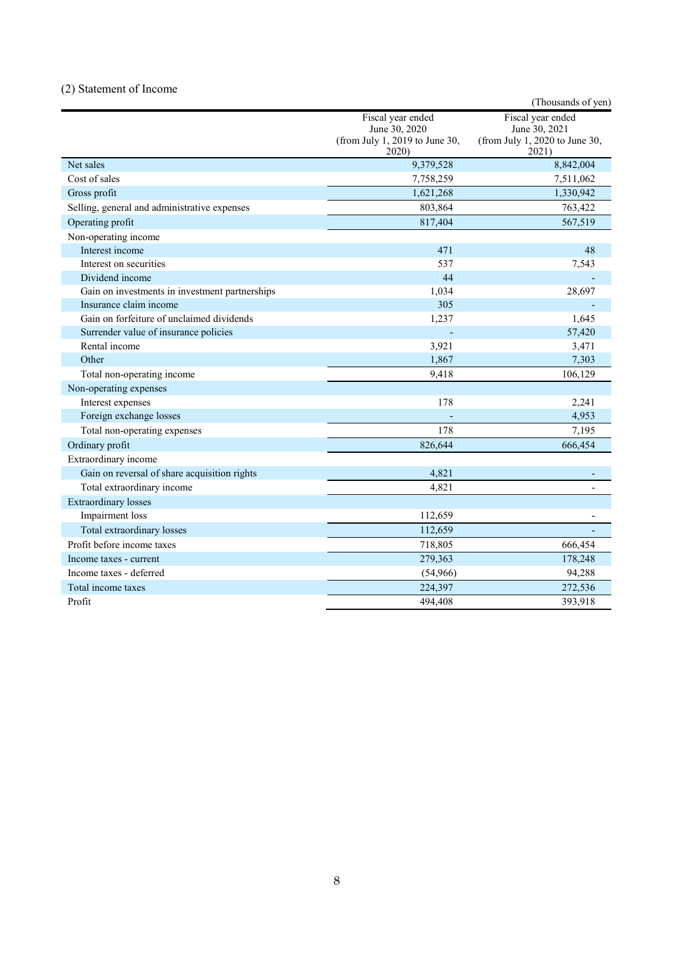## (2) Statement of Income

|                                                |                                                                               | (Thousands of yen)                                                            |
|------------------------------------------------|-------------------------------------------------------------------------------|-------------------------------------------------------------------------------|
|                                                | Fiscal year ended<br>June 30, 2020<br>(from July 1, 2019 to June 30,<br>2020) | Fiscal year ended<br>June 30, 2021<br>(from July 1, 2020 to June 30,<br>2021) |
| Net sales                                      | 9,379,528                                                                     | 8,842,004                                                                     |
| Cost of sales                                  | 7,758,259                                                                     | 7,511,062                                                                     |
| Gross profit                                   | 1,621,268                                                                     | 1,330,942                                                                     |
| Selling, general and administrative expenses   | 803,864                                                                       | 763,422                                                                       |
| Operating profit                               | 817,404                                                                       | 567,519                                                                       |
| Non-operating income                           |                                                                               |                                                                               |
| Interest income                                | 471                                                                           | 48                                                                            |
| Interest on securities                         | 537                                                                           | 7,543                                                                         |
| Dividend income                                | 44                                                                            |                                                                               |
| Gain on investments in investment partnerships | 1,034                                                                         | 28,697                                                                        |
| Insurance claim income                         | 305                                                                           |                                                                               |
| Gain on forfeiture of unclaimed dividends      | 1,237                                                                         | 1,645                                                                         |
| Surrender value of insurance policies          |                                                                               | 57,420                                                                        |
| Rental income                                  | 3,921                                                                         | 3,471                                                                         |
| Other                                          | 1,867                                                                         | 7,303                                                                         |
| Total non-operating income                     | 9.418                                                                         | 106,129                                                                       |
| Non-operating expenses                         |                                                                               |                                                                               |
| Interest expenses                              | 178                                                                           | 2,241                                                                         |
| Foreign exchange losses                        |                                                                               | 4,953                                                                         |
| Total non-operating expenses                   | 178                                                                           | 7,195                                                                         |
| Ordinary profit                                | 826,644                                                                       | 666,454                                                                       |
| Extraordinary income                           |                                                                               |                                                                               |
| Gain on reversal of share acquisition rights   | 4,821                                                                         |                                                                               |
| Total extraordinary income                     | 4,821                                                                         |                                                                               |
| <b>Extraordinary losses</b>                    |                                                                               |                                                                               |
| Impairment loss                                | 112,659                                                                       |                                                                               |
| Total extraordinary losses                     | 112,659                                                                       |                                                                               |
| Profit before income taxes                     | 718,805                                                                       | 666,454                                                                       |
| Income taxes - current                         | 279,363                                                                       | 178,248                                                                       |
| Income taxes - deferred                        | (54,966)                                                                      | 94,288                                                                        |
| Total income taxes                             | 224,397                                                                       | 272,536                                                                       |
| Profit                                         | 494,408                                                                       | 393,918                                                                       |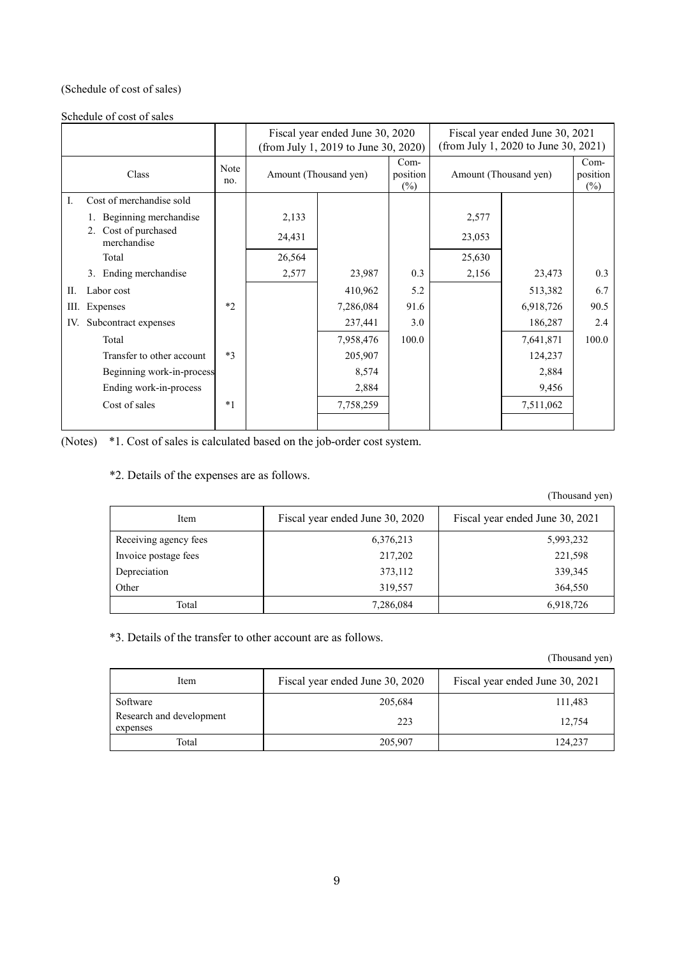## (Schedule of cost of sales)

Schedule of cost of sales

|                                        |                    | Fiscal year ended June 30, 2020<br>(from July 1, 2019 to June 30, 2020) |                       |                              |        | Fiscal year ended June 30, 2021<br>(from July 1, 2020 to June 30, 2021) |                              |
|----------------------------------------|--------------------|-------------------------------------------------------------------------|-----------------------|------------------------------|--------|-------------------------------------------------------------------------|------------------------------|
| Class                                  | <b>Note</b><br>no. |                                                                         | Amount (Thousand yen) | $Com-$<br>position<br>$(\%)$ |        | Amount (Thousand yen)                                                   | $Com-$<br>position<br>$(\%)$ |
| Cost of merchandise sold<br>Ι.         |                    |                                                                         |                       |                              |        |                                                                         |                              |
| 1. Beginning merchandise               |                    | 2,133                                                                   |                       |                              | 2,577  |                                                                         |                              |
| Cost of purchased<br>2.<br>merchandise |                    | 24,431                                                                  |                       |                              | 23,053 |                                                                         |                              |
| Total                                  |                    | 26,564                                                                  |                       |                              | 25,630 |                                                                         |                              |
| 3. Ending merchandise                  |                    | 2,577                                                                   | 23,987                | 0.3                          | 2,156  | 23,473                                                                  | 0.3                          |
| П.<br>Labor cost                       |                    |                                                                         | 410,962               | 5.2                          |        | 513,382                                                                 | 6.7                          |
| Expenses<br>Ш.                         | $*$                |                                                                         | 7,286,084             | 91.6                         |        | 6,918,726                                                               | 90.5                         |
| Subcontract expenses<br>IV.            |                    |                                                                         | 237,441               | 3.0                          |        | 186,287                                                                 | 2.4                          |
| Total                                  |                    |                                                                         | 7,958,476             | 100.0                        |        | 7,641,871                                                               | 100.0                        |
| Transfer to other account              | $*3$               |                                                                         | 205,907               |                              |        | 124,237                                                                 |                              |
| Beginning work-in-process              |                    |                                                                         | 8,574                 |                              |        | 2,884                                                                   |                              |
| Ending work-in-process                 |                    |                                                                         | 2,884                 |                              |        | 9,456                                                                   |                              |
| Cost of sales                          | $*1$               |                                                                         | 7,758,259             |                              |        | 7,511,062                                                               |                              |
|                                        |                    |                                                                         |                       |                              |        |                                                                         |                              |

(Notes) \*1. Cost of sales is calculated based on the job-order cost system.

## \*2. Details of the expenses are as follows.

(Thousand yen)

| Item                  | Fiscal year ended June 30, 2020 | Fiscal year ended June 30, 2021 |
|-----------------------|---------------------------------|---------------------------------|
| Receiving agency fees | 6,376,213                       | 5,993,232                       |
| Invoice postage fees  | 217,202                         | 221,598                         |
| Depreciation          | 373,112                         | 339,345                         |
| Other                 | 319,557                         | 364,550                         |
| Total                 | 7,286,084                       | 6,918,726                       |

\*3. Details of the transfer to other account are as follows.

(Thousand yen)

| Item                                 | Fiscal year ended June 30, 2020 | Fiscal year ended June 30, 2021 |
|--------------------------------------|---------------------------------|---------------------------------|
| Software                             | 205,684                         | 111,483                         |
| Research and development<br>expenses | 223                             | 12.754                          |
| Total                                | 205,907                         | 124,237                         |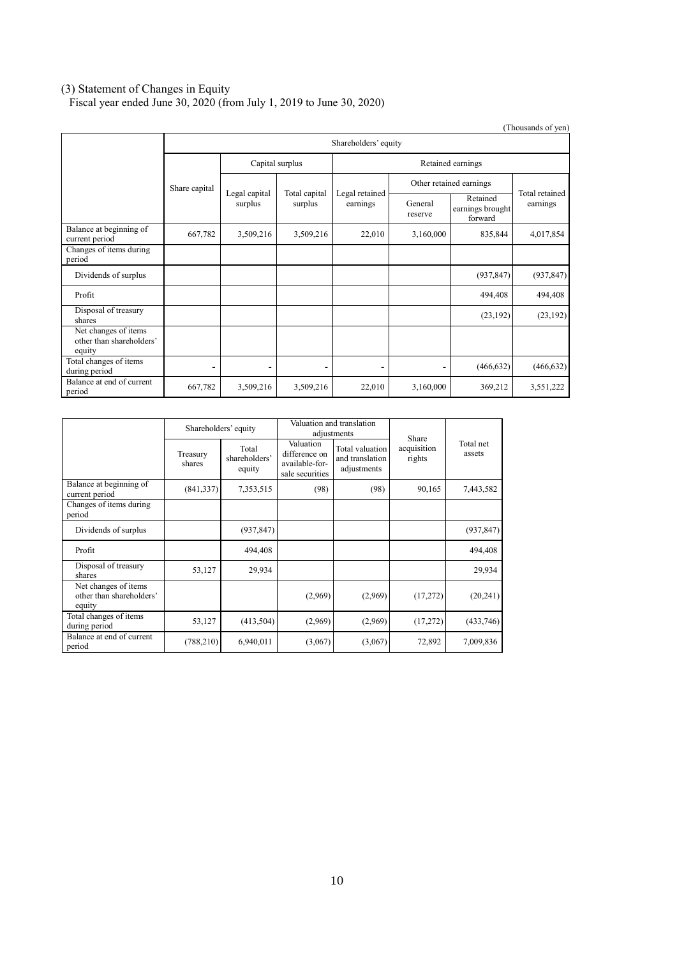### (3) Statement of Changes in Equity

Fiscal year ended June 30, 2020 (from July 1, 2019 to June 30, 2020)

|                                                            |                          |                          |                          |                            |                    |                                         | (Thousands of yen)         |
|------------------------------------------------------------|--------------------------|--------------------------|--------------------------|----------------------------|--------------------|-----------------------------------------|----------------------------|
|                                                            | Shareholders' equity     |                          |                          |                            |                    |                                         |                            |
|                                                            |                          | Capital surplus          |                          | Retained earnings          |                    |                                         |                            |
|                                                            | Share capital            |                          |                          | Legal retained<br>earnings |                    | Other retained earnings                 |                            |
|                                                            |                          | Legal capital<br>surplus | Total capital<br>surplus |                            | General<br>reserve | Retained<br>earnings brought<br>forward | Total retained<br>earnings |
| Balance at beginning of<br>current period                  | 667,782                  | 3,509,216                | 3,509,216                | 22,010                     | 3,160,000          | 835,844                                 | 4,017,854                  |
| Changes of items during<br>period                          |                          |                          |                          |                            |                    |                                         |                            |
| Dividends of surplus                                       |                          |                          |                          |                            |                    | (937, 847)                              | (937, 847)                 |
| Profit                                                     |                          |                          |                          |                            |                    | 494,408                                 | 494,408                    |
| Disposal of treasury<br>shares                             |                          |                          |                          |                            |                    | (23, 192)                               | (23,192)                   |
| Net changes of items<br>other than shareholders'<br>equity |                          |                          |                          |                            |                    |                                         |                            |
| Total changes of items<br>during period                    | $\overline{\phantom{a}}$ | $\overline{\phantom{0}}$ |                          |                            | -                  | (466, 632)                              | (466, 632)                 |
| Balance at end of current<br>period                        | 667,782                  | 3,509,216                | 3,509,216                | 22,010                     | 3,160,000          | 369,212                                 | 3,551,222                  |

|                                                            | Shareholders' equity |                                  |                                                                 | Valuation and translation<br>adjustments          | Share                 |                     |
|------------------------------------------------------------|----------------------|----------------------------------|-----------------------------------------------------------------|---------------------------------------------------|-----------------------|---------------------|
|                                                            | Treasury<br>shares   | Total<br>shareholders'<br>equity | Valuation<br>difference on<br>available-for-<br>sale securities | Total valuation<br>and translation<br>adjustments | acquisition<br>rights | Total net<br>assets |
| Balance at beginning of<br>current period                  | (841, 337)           | 7,353,515                        | (98)                                                            | (98)                                              | 90,165                | 7,443,582           |
| Changes of items during<br>period                          |                      |                                  |                                                                 |                                                   |                       |                     |
| Dividends of surplus                                       |                      | (937, 847)                       |                                                                 |                                                   |                       | (937, 847)          |
| Profit                                                     |                      | 494,408                          |                                                                 |                                                   |                       | 494,408             |
| Disposal of treasury<br>shares                             | 53,127               | 29,934                           |                                                                 |                                                   |                       | 29,934              |
| Net changes of items<br>other than shareholders'<br>equity |                      |                                  | (2,969)                                                         | (2,969)                                           | (17,272)              | (20,241)            |
| Total changes of items<br>during period                    | 53,127               | (413, 504)                       | (2,969)                                                         | (2,969)                                           | (17,272)              | (433,746)           |
| Balance at end of current<br>period                        | (788, 210)           | 6,940,011                        | (3,067)                                                         | (3,067)                                           | 72,892                | 7,009,836           |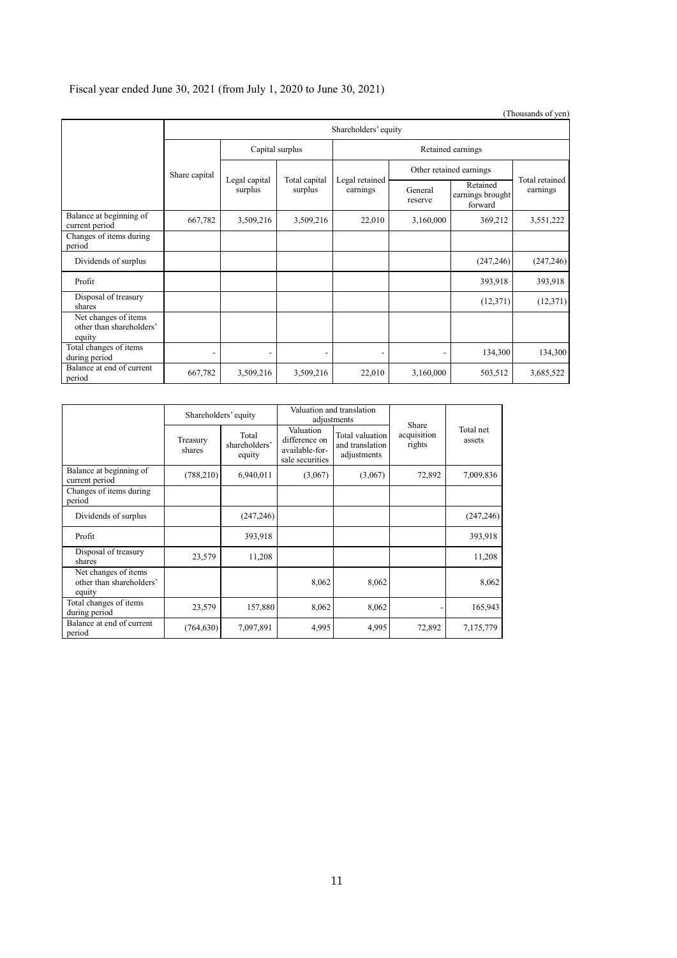# Fiscal year ended June 30, 2021 (from July 1, 2020 to June 30, 2021)

|                                                            |               |                      |                 |                          |                          |                            | (Thousands of yen) |                                         |
|------------------------------------------------------------|---------------|----------------------|-----------------|--------------------------|--------------------------|----------------------------|--------------------|-----------------------------------------|
|                                                            |               | Shareholders' equity |                 |                          |                          |                            |                    |                                         |
|                                                            |               |                      | Capital surplus |                          |                          | Retained earnings          |                    |                                         |
|                                                            | Share capital |                      |                 |                          |                          | Other retained earnings    |                    |                                         |
|                                                            |               |                      |                 | Legal capital<br>surplus | Total capital<br>surplus | Legal retained<br>earnings | General<br>reserve | Retained<br>earnings brought<br>forward |
| Balance at beginning of<br>current period                  | 667,782       | 3,509,216            | 3,509,216       | 22,010                   | 3,160,000                | 369,212                    | 3,551,222          |                                         |
| Changes of items during<br>period                          |               |                      |                 |                          |                          |                            |                    |                                         |
| Dividends of surplus                                       |               |                      |                 |                          |                          | (247, 246)                 | (247, 246)         |                                         |
| Profit                                                     |               |                      |                 |                          |                          | 393,918                    | 393,918            |                                         |
| Disposal of treasury<br>shares                             |               |                      |                 |                          |                          | (12,371)                   | (12,371)           |                                         |
| Net changes of items<br>other than shareholders'<br>equity |               |                      |                 |                          |                          |                            |                    |                                         |
| Total changes of items<br>during period                    |               |                      |                 |                          | $\overline{\phantom{a}}$ | 134,300                    | 134,300            |                                         |
| Balance at end of current<br>period                        | 667,782       | 3,509,216            | 3,509,216       | 22,010                   | 3,160,000                | 503,512                    | 3,685,522          |                                         |

|                                                            | Shareholders' equity |                                  |                                                                 | Valuation and translation<br>adjustments          | Share                 |                     |
|------------------------------------------------------------|----------------------|----------------------------------|-----------------------------------------------------------------|---------------------------------------------------|-----------------------|---------------------|
|                                                            | Treasury<br>shares   | Total<br>shareholders'<br>equity | Valuation<br>difference on<br>available-for-<br>sale securities | Total valuation<br>and translation<br>adjustments | acquisition<br>rights | Total net<br>assets |
| Balance at beginning of<br>current period                  | (788, 210)           | 6,940,011                        | (3,067)                                                         | (3,067)                                           | 72,892                | 7,009,836           |
| Changes of items during<br>period                          |                      |                                  |                                                                 |                                                   |                       |                     |
| Dividends of surplus                                       |                      | (247, 246)                       |                                                                 |                                                   |                       | (247, 246)          |
| Profit                                                     |                      | 393,918                          |                                                                 |                                                   |                       | 393,918             |
| Disposal of treasury<br>shares                             | 23,579               | 11,208                           |                                                                 |                                                   |                       | 11,208              |
| Net changes of items<br>other than shareholders'<br>equity |                      |                                  | 8,062                                                           | 8,062                                             |                       | 8,062               |
| Total changes of items<br>during period                    | 23,579               | 157,880                          | 8,062                                                           | 8,062                                             |                       | 165,943             |
| Balance at end of current<br>period                        | (764, 630)           | 7,097,891                        | 4,995                                                           | 4,995                                             | 72,892                | 7,175,779           |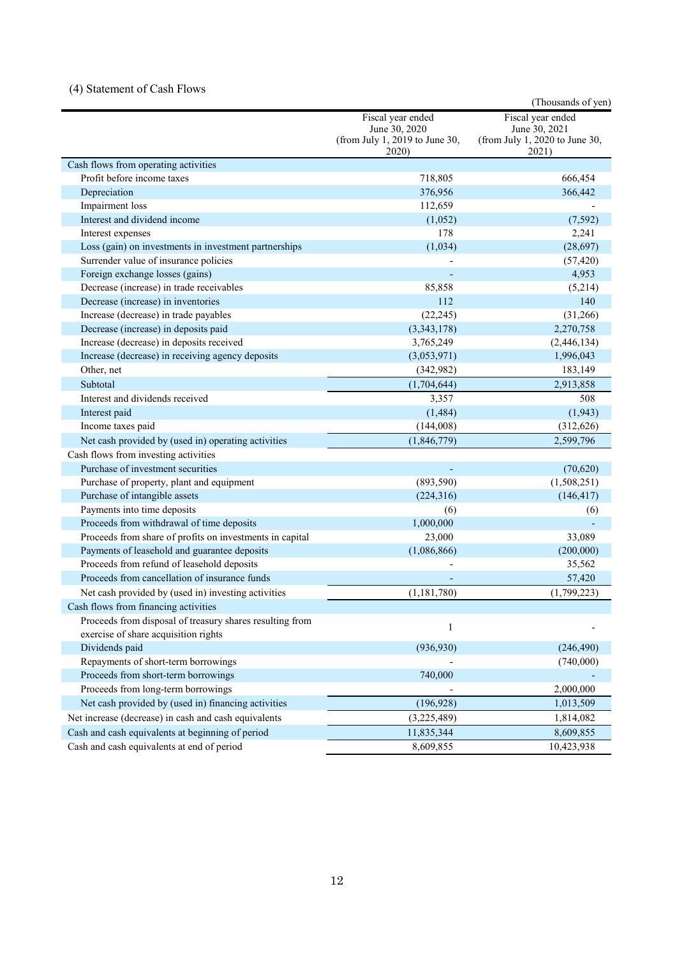## (4) Statement of Cash Flows

|                                                          |                                                                               | (Thousands of yen)                                                            |
|----------------------------------------------------------|-------------------------------------------------------------------------------|-------------------------------------------------------------------------------|
|                                                          | Fiscal year ended<br>June 30, 2020<br>(from July 1, 2019 to June 30,<br>2020) | Fiscal year ended<br>June 30, 2021<br>(from July 1, 2020 to June 30,<br>2021) |
| Cash flows from operating activities                     |                                                                               |                                                                               |
| Profit before income taxes                               | 718,805                                                                       | 666,454                                                                       |
| Depreciation                                             | 376,956                                                                       | 366,442                                                                       |
| Impairment loss                                          | 112,659                                                                       |                                                                               |
| Interest and dividend income                             | (1,052)                                                                       | (7, 592)                                                                      |
| Interest expenses                                        | 178                                                                           | 2,241                                                                         |
| Loss (gain) on investments in investment partnerships    | (1,034)                                                                       | (28,697)                                                                      |
| Surrender value of insurance policies                    |                                                                               | (57, 420)                                                                     |
| Foreign exchange losses (gains)                          |                                                                               | 4,953                                                                         |
| Decrease (increase) in trade receivables                 | 85,858                                                                        | (5,214)                                                                       |
| Decrease (increase) in inventories                       | 112                                                                           | 140                                                                           |
| Increase (decrease) in trade payables                    | (22, 245)                                                                     | (31,266)                                                                      |
| Decrease (increase) in deposits paid                     | (3,343,178)                                                                   | 2,270,758                                                                     |
| Increase (decrease) in deposits received                 | 3,765,249                                                                     | (2,446,134)                                                                   |
| Increase (decrease) in receiving agency deposits         | (3,053,971)                                                                   | 1,996,043                                                                     |
| Other, net                                               | (342,982)                                                                     | 183,149                                                                       |
| Subtotal                                                 | (1,704,644)                                                                   | 2,913,858                                                                     |
| Interest and dividends received                          | 3,357                                                                         | 508                                                                           |
| Interest paid                                            | (1, 484)                                                                      | (1, 943)                                                                      |
| Income taxes paid                                        | (144,008)                                                                     | (312, 626)                                                                    |
| Net cash provided by (used in) operating activities      | (1,846,779)                                                                   | 2,599,796                                                                     |
| Cash flows from investing activities                     |                                                                               |                                                                               |
| Purchase of investment securities                        |                                                                               | (70,620)                                                                      |
| Purchase of property, plant and equipment                | (893, 590)                                                                    | (1,508,251)                                                                   |
| Purchase of intangible assets                            | (224, 316)                                                                    | (146, 417)                                                                    |
| Payments into time deposits                              | (6)                                                                           | (6)                                                                           |
| Proceeds from withdrawal of time deposits                | 1,000,000                                                                     |                                                                               |
| Proceeds from share of profits on investments in capital | 23,000                                                                        | 33,089                                                                        |
| Payments of leasehold and guarantee deposits             | (1,086,866)                                                                   | (200,000)                                                                     |
| Proceeds from refund of leasehold deposits               |                                                                               | 35,562                                                                        |
| Proceeds from cancellation of insurance funds            |                                                                               | 57,420                                                                        |
| Net cash provided by (used in) investing activities      | (1, 181, 780)                                                                 | (1,799,223)                                                                   |
| Cash flows from financing activities                     |                                                                               |                                                                               |
| Proceeds from disposal of treasury shares resulting from | 1                                                                             |                                                                               |
| exercise of share acquisition rights                     |                                                                               |                                                                               |
| Dividends paid                                           | (936, 930)                                                                    | (246, 490)                                                                    |
| Repayments of short-term borrowings                      |                                                                               | (740,000)                                                                     |
| Proceeds from short-term borrowings                      | 740,000                                                                       |                                                                               |
| Proceeds from long-term borrowings                       |                                                                               | 2,000,000                                                                     |
| Net cash provided by (used in) financing activities      | (196, 928)                                                                    | 1,013,509                                                                     |
| Net increase (decrease) in cash and cash equivalents     | (3,225,489)                                                                   | 1,814,082                                                                     |
| Cash and cash equivalents at beginning of period         | 11,835,344                                                                    | 8,609,855                                                                     |
| Cash and cash equivalents at end of period               | 8,609,855                                                                     | 10,423,938                                                                    |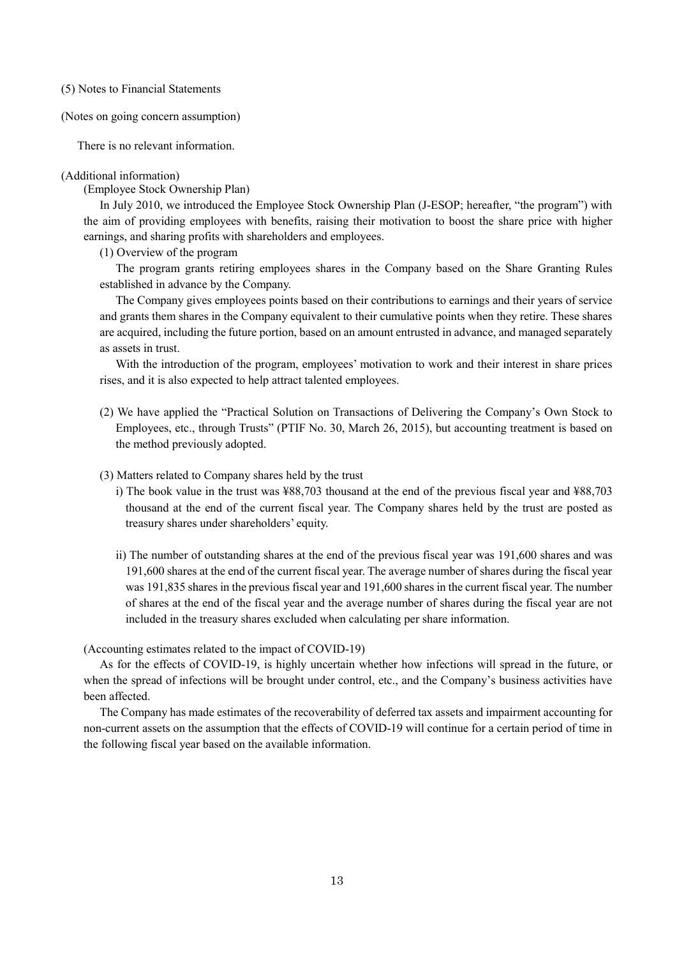(5) Notes to Financial Statements

(Notes on going concern assumption)

There is no relevant information.

### (Additional information)

(Employee Stock Ownership Plan)

In July 2010, we introduced the Employee Stock Ownership Plan (J-ESOP; hereafter, "the program") with the aim of providing employees with benefits, raising their motivation to boost the share price with higher earnings, and sharing profits with shareholders and employees.

(1) Overview of the program

The program grants retiring employees shares in the Company based on the Share Granting Rules established in advance by the Company.

The Company gives employees points based on their contributions to earnings and their years of service and grants them shares in the Company equivalent to their cumulative points when they retire. These shares are acquired, including the future portion, based on an amount entrusted in advance, and managed separately as assets in trust.

With the introduction of the program, employees' motivation to work and their interest in share prices rises, and it is also expected to help attract talented employees.

- (2) We have applied the "Practical Solution on Transactions of Delivering the Company's Own Stock to Employees, etc., through Trusts" (PTIF No. 30, March 26, 2015), but accounting treatment is based on the method previously adopted.
- (3) Matters related to Company shares held by the trust
	- i) The book value in the trust was ¥88,703 thousand at the end of the previous fiscal year and ¥88,703 thousand at the end of the current fiscal year. The Company shares held by the trust are posted as treasury shares under shareholders' equity.
	- ii) The number of outstanding shares at the end of the previous fiscal year was 191,600 shares and was 191,600 shares at the end of the current fiscal year. The average number of shares during the fiscal year was 191,835 shares in the previous fiscal year and 191,600 shares in the current fiscal year. The number of shares at the end of the fiscal year and the average number of shares during the fiscal year are not included in the treasury shares excluded when calculating per share information.

(Accounting estimates related to the impact of COVID-19)

As for the effects of COVID-19, is highly uncertain whether how infections will spread in the future, or when the spread of infections will be brought under control, etc., and the Company's business activities have been affected.

The Company has made estimates of the recoverability of deferred tax assets and impairment accounting for non-current assets on the assumption that the effects of COVID-19 will continue for a certain period of time in the following fiscal year based on the available information.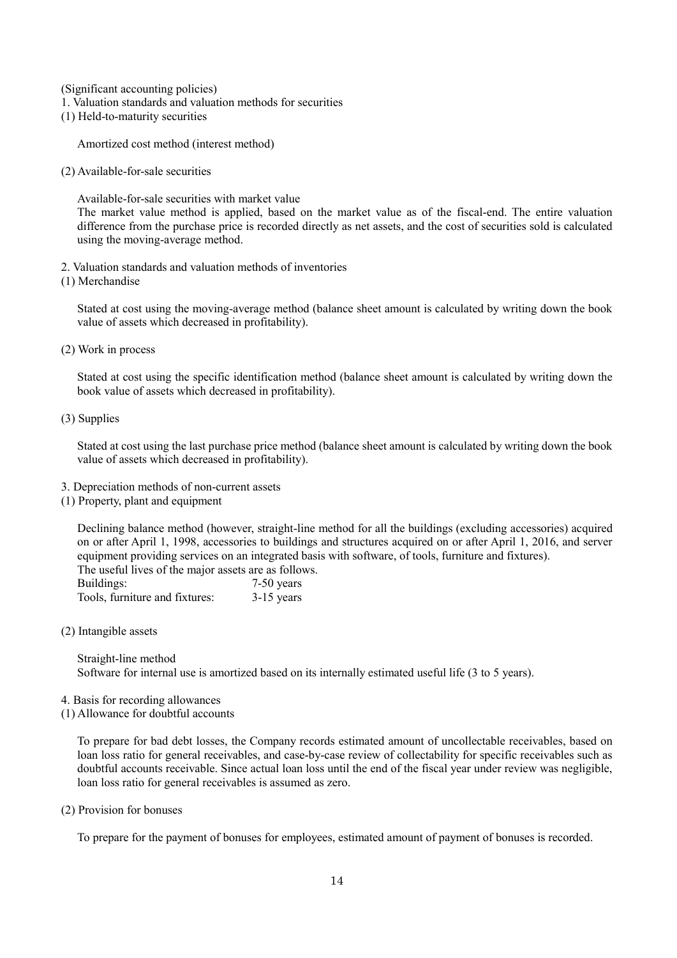(Significant accounting policies)

- 1. Valuation standards and valuation methods for securities
- (1) Held-to-maturity securities

Amortized cost method (interest method)

(2) Available-for-sale securities

Available-for-sale securities with market value

The market value method is applied, based on the market value as of the fiscal-end. The entire valuation difference from the purchase price is recorded directly as net assets, and the cost of securities sold is calculated using the moving-average method.

- 2. Valuation standards and valuation methods of inventories
- (1) Merchandise

Stated at cost using the moving-average method (balance sheet amount is calculated by writing down the book value of assets which decreased in profitability).

(2) Work in process

Stated at cost using the specific identification method (balance sheet amount is calculated by writing down the book value of assets which decreased in profitability).

(3) Supplies

Stated at cost using the last purchase price method (balance sheet amount is calculated by writing down the book value of assets which decreased in profitability).

- 3. Depreciation methods of non-current assets
- (1) Property, plant and equipment

Declining balance method (however, straight-line method for all the buildings (excluding accessories) acquired on or after April 1, 1998, accessories to buildings and structures acquired on or after April 1, 2016, and server equipment providing services on an integrated basis with software, of tools, furniture and fixtures). The useful lives of the major assets are as follows.

| Buildings:                     | $7-50$ years |
|--------------------------------|--------------|
| Tools, furniture and fixtures: | $3-15$ years |

(2) Intangible assets

Straight-line method Software for internal use is amortized based on its internally estimated useful life (3 to 5 years).

- 4. Basis for recording allowances
- (1) Allowance for doubtful accounts

To prepare for bad debt losses, the Company records estimated amount of uncollectable receivables, based on loan loss ratio for general receivables, and case-by-case review of collectability for specific receivables such as doubtful accounts receivable. Since actual loan loss until the end of the fiscal year under review was negligible, loan loss ratio for general receivables is assumed as zero.

(2) Provision for bonuses

To prepare for the payment of bonuses for employees, estimated amount of payment of bonuses is recorded.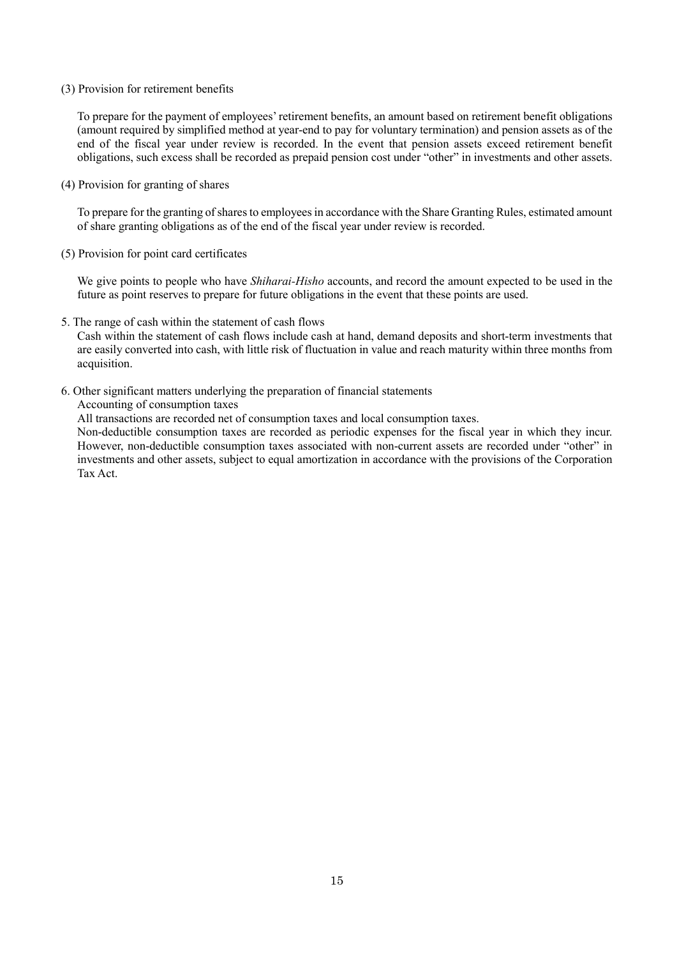#### (3) Provision for retirement benefits

To prepare for the payment of employees' retirement benefits, an amount based on retirement benefit obligations (amount required by simplified method at year-end to pay for voluntary termination) and pension assets as of the end of the fiscal year under review is recorded. In the event that pension assets exceed retirement benefit obligations, such excess shall be recorded as prepaid pension cost under "other" in investments and other assets.

#### (4) Provision for granting of shares

To prepare for the granting of shares to employees in accordance with the Share Granting Rules, estimated amount of share granting obligations as of the end of the fiscal year under review is recorded.

(5) Provision for point card certificates

We give points to people who have *Shiharai-Hisho* accounts, and record the amount expected to be used in the future as point reserves to prepare for future obligations in the event that these points are used.

5. The range of cash within the statement of cash flows

Cash within the statement of cash flows include cash at hand, demand deposits and short-term investments that are easily converted into cash, with little risk of fluctuation in value and reach maturity within three months from acquisition.

6. Other significant matters underlying the preparation of financial statements

Accounting of consumption taxes

All transactions are recorded net of consumption taxes and local consumption taxes.

Non-deductible consumption taxes are recorded as periodic expenses for the fiscal year in which they incur. However, non-deductible consumption taxes associated with non-current assets are recorded under "other" in investments and other assets, subject to equal amortization in accordance with the provisions of the Corporation Tax Act.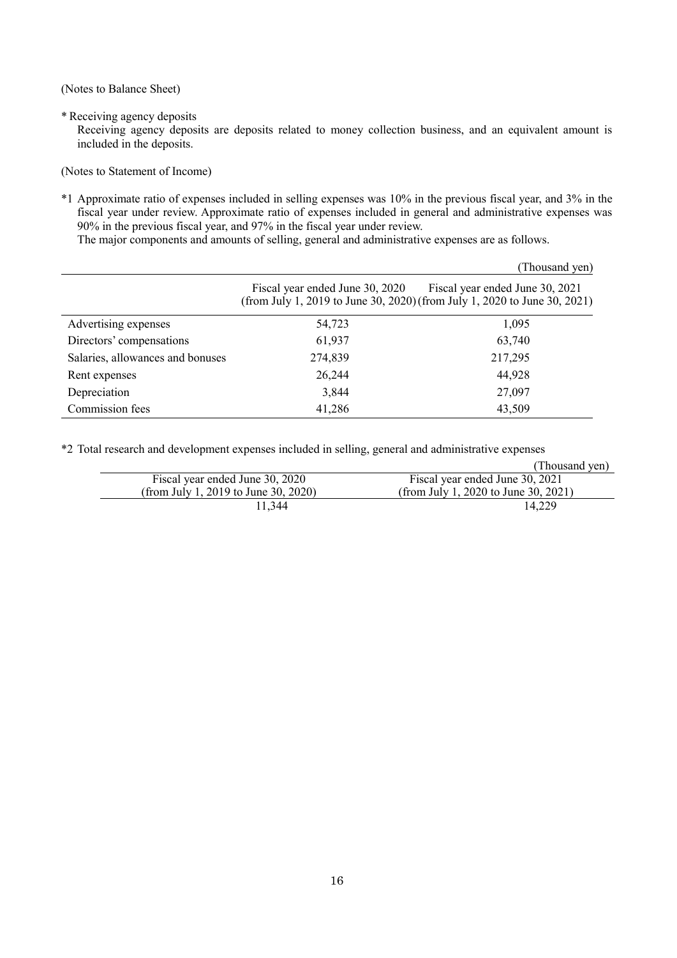(Notes to Balance Sheet)

\* Receiving agency deposits

Receiving agency deposits are deposits related to money collection business, and an equivalent amount is included in the deposits.

(Notes to Statement of Income)

\*1 Approximate ratio of expenses included in selling expenses was 10% in the previous fiscal year, and 3% in the fiscal year under review. Approximate ratio of expenses included in general and administrative expenses was 90% in the previous fiscal year, and 97% in the fiscal year under review.

The major components and amounts of selling, general and administrative expenses are as follows.

|                                  |                                 | (Thousand yen)                                                                                               |
|----------------------------------|---------------------------------|--------------------------------------------------------------------------------------------------------------|
|                                  | Fiscal year ended June 30, 2020 | Fiscal year ended June 30, 2021<br>(from July 1, 2019 to June 30, 2020) (from July 1, 2020 to June 30, 2021) |
| Advertising expenses             | 54,723                          | 1,095                                                                                                        |
| Directors' compensations         | 61,937                          | 63,740                                                                                                       |
| Salaries, allowances and bonuses | 274,839                         | 217,295                                                                                                      |
| Rent expenses                    | 26,244                          | 44,928                                                                                                       |
| Depreciation                     | 3,844                           | 27,097                                                                                                       |
| Commission fees                  | 41,286                          | 43,509                                                                                                       |

\*2 Total research and development expenses included in selling, general and administrative expenses

|                                      | (Thousand ven)                       |
|--------------------------------------|--------------------------------------|
| Fiscal year ended June 30, 2020      | Fiscal year ended June 30, 2021      |
| (from July 1, 2019 to June 30, 2020) | (from July 1, 2020 to June 30, 2021) |
| 11.344                               | 14.229                               |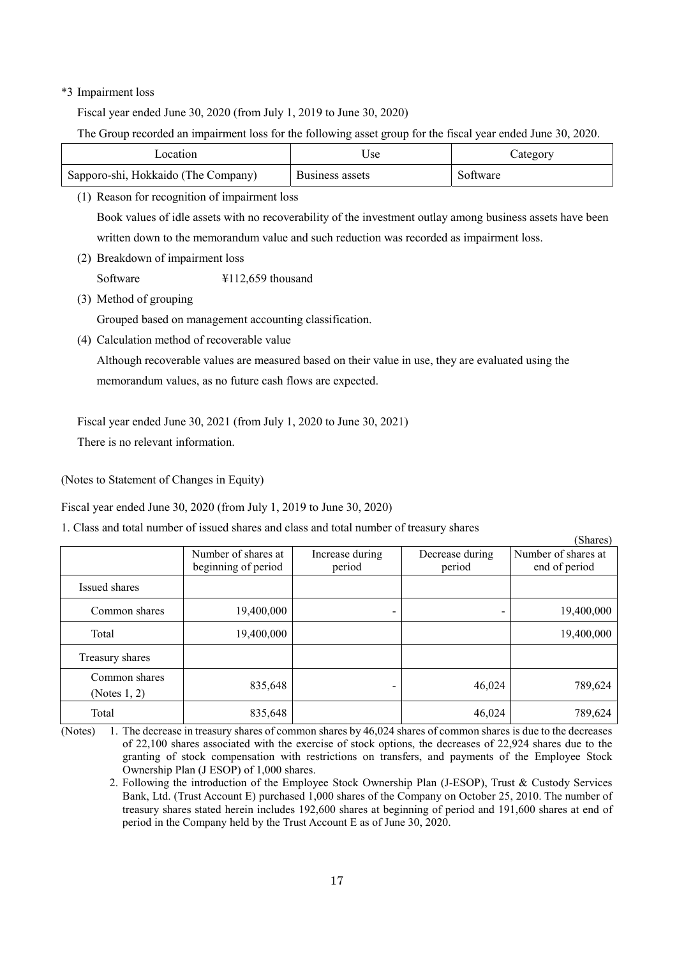## \*3 Impairment loss

Fiscal year ended June 30, 2020 (from July 1, 2019 to June 30, 2020)

The Group recorded an impairment loss for the following asset group for the fiscal year ended June 30, 2020.

| ocation                               | Jse             | ategory  |
|---------------------------------------|-----------------|----------|
| ' Sapporo-shi, Hokkaido (The Company) | Business assets | Software |

(1) Reason for recognition of impairment loss

Book values of idle assets with no recoverability of the investment outlay among business assets have been written down to the memorandum value and such reduction was recorded as impairment loss.

(2) Breakdown of impairment loss

Software  $\text{\#112,659}$  thousand

(3) Method of grouping

Grouped based on management accounting classification.

(4) Calculation method of recoverable value

Although recoverable values are measured based on their value in use, they are evaluated using the memorandum values, as no future cash flows are expected.

Fiscal year ended June 30, 2021 (from July 1, 2020 to June 30, 2021)

There is no relevant information.

(Notes to Statement of Changes in Equity)

Fiscal year ended June 30, 2020 (from July 1, 2019 to June 30, 2020)

1. Class and total number of issued shares and class and total number of treasury shares

|                                  |                                            |                           |                           | (Shares)                             |
|----------------------------------|--------------------------------------------|---------------------------|---------------------------|--------------------------------------|
|                                  | Number of shares at<br>beginning of period | Increase during<br>period | Decrease during<br>period | Number of shares at<br>end of period |
| Issued shares                    |                                            |                           |                           |                                      |
| Common shares                    | 19,400,000                                 | ۰                         |                           | 19,400,000                           |
| Total                            | 19,400,000                                 |                           |                           | 19,400,000                           |
| Treasury shares                  |                                            |                           |                           |                                      |
| Common shares<br>(Notes $1, 2$ ) | 835,648                                    |                           | 46,024                    | 789,624                              |
| Total                            | 835,648                                    |                           | 46,024                    | 789,624                              |

<sup>(</sup>Notes) 1. The decrease in treasury shares of common shares by 46,024 shares of common shares is due to the decreases of 22,100 shares associated with the exercise of stock options, the decreases of 22,924 shares due to the granting of stock compensation with restrictions on transfers, and payments of the Employee Stock Ownership Plan (J ESOP) of 1,000 shares.

<sup>2.</sup> Following the introduction of the Employee Stock Ownership Plan (J-ESOP), Trust & Custody Services Bank, Ltd. (Trust Account E) purchased 1,000 shares of the Company on October 25, 2010. The number of treasury shares stated herein includes 192,600 shares at beginning of period and 191,600 shares at end of period in the Company held by the Trust Account E as of June 30, 2020.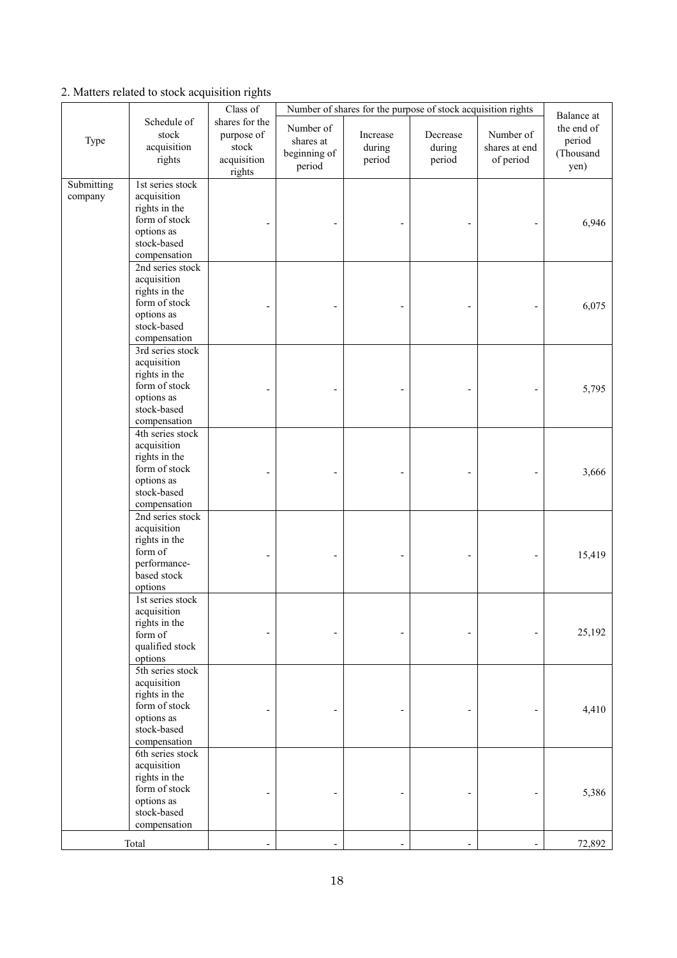## 2. Matters related to stock acquisition rights

|                       |                                                                                                                |                                                                            | Number of shares for the purpose of stock acquisition rights |                              |                              |                                         |                                                         |
|-----------------------|----------------------------------------------------------------------------------------------------------------|----------------------------------------------------------------------------|--------------------------------------------------------------|------------------------------|------------------------------|-----------------------------------------|---------------------------------------------------------|
| Type                  | Schedule of<br>stock<br>acquisition<br>rights                                                                  | Class of<br>shares for the<br>purpose of<br>stock<br>acquisition<br>rights | Number of<br>shares at<br>beginning of<br>period             | Increase<br>during<br>period | Decrease<br>during<br>period | Number of<br>shares at end<br>of period | Balance at<br>the end of<br>period<br>(Thousand<br>yen) |
| Submitting<br>company | 1st series stock<br>acquisition<br>rights in the<br>form of stock<br>options as<br>stock-based<br>compensation |                                                                            |                                                              |                              |                              |                                         | 6,946                                                   |
|                       | 2nd series stock<br>acquisition<br>rights in the<br>form of stock<br>options as<br>stock-based<br>compensation |                                                                            |                                                              |                              |                              |                                         | 6,075                                                   |
|                       | 3rd series stock<br>acquisition<br>rights in the<br>form of stock<br>options as<br>stock-based<br>compensation |                                                                            |                                                              |                              |                              |                                         | 5,795                                                   |
|                       | 4th series stock<br>acquisition<br>rights in the<br>form of stock<br>options as<br>stock-based<br>compensation |                                                                            |                                                              |                              |                              |                                         | 3,666                                                   |
|                       | 2nd series stock<br>acquisition<br>rights in the<br>form of<br>performance-<br>based stock<br>options          |                                                                            |                                                              |                              |                              |                                         | 15,419                                                  |
|                       | 1st series stock<br>acquisition<br>rights in the<br>form of<br>qualified stock<br>options                      |                                                                            |                                                              |                              |                              |                                         | 25,192                                                  |
|                       | 5th series stock<br>acquisition<br>rights in the<br>form of stock<br>options as<br>stock-based<br>compensation |                                                                            |                                                              |                              |                              |                                         | 4,410                                                   |
|                       | 6th series stock<br>acquisition<br>rights in the<br>form of stock<br>options as<br>stock-based<br>compensation |                                                                            |                                                              |                              |                              |                                         | 5,386                                                   |
|                       | Total                                                                                                          |                                                                            |                                                              |                              |                              |                                         | 72,892                                                  |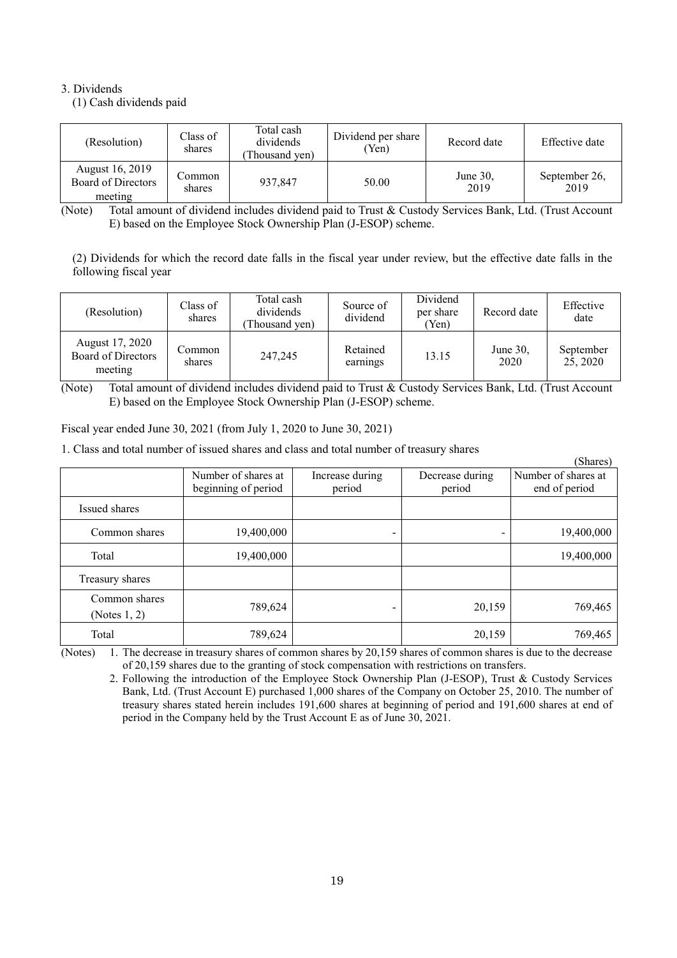## 3. Dividends

(1) Cash dividends paid

| (Resolution)                                     | Class of<br>shares | Total cash<br>dividends<br>Thousand yen) | Dividend per share<br>'Yen) | Record date         | Effective date        |
|--------------------------------------------------|--------------------|------------------------------------------|-----------------------------|---------------------|-----------------------|
| August 16, 2019<br>Board of Directors<br>meeting | Common<br>shares   | 937,847                                  | 50.00                       | June $30$ .<br>2019 | September 26,<br>2019 |

(Note) Total amount of dividend includes dividend paid to Trust & Custody Services Bank, Ltd. (Trust Account E) based on the Employee Stock Ownership Plan (J-ESOP) scheme.

(2) Dividends for which the record date falls in the fiscal year under review, but the effective date falls in the following fiscal year

| (Resolution)                                     | Class of<br>shares | Total cash<br>dividends<br>(Thousand yen) | Source of<br>dividend | Dividend<br>per share<br>(Yen) | Record date         | Effective<br>date     |
|--------------------------------------------------|--------------------|-------------------------------------------|-----------------------|--------------------------------|---------------------|-----------------------|
| August 17, 2020<br>Board of Directors<br>meeting | Common<br>shares   | 247,245                                   | Retained<br>earnings  | 13.15                          | June $30$ ,<br>2020 | September<br>25, 2020 |

<sup>(</sup>Note) Total amount of dividend includes dividend paid to Trust & Custody Services Bank, Ltd. (Trust Account E) based on the Employee Stock Ownership Plan (J-ESOP) scheme.

Fiscal year ended June 30, 2021 (from July 1, 2020 to June 30, 2021)

1. Class and total number of issued shares and class and total number of treasury shares

|                                  |                                            |                           |                           | (Shares)                             |
|----------------------------------|--------------------------------------------|---------------------------|---------------------------|--------------------------------------|
|                                  | Number of shares at<br>beginning of period | Increase during<br>period | Decrease during<br>period | Number of shares at<br>end of period |
| Issued shares                    |                                            |                           |                           |                                      |
| Common shares                    | 19,400,000                                 |                           |                           | 19,400,000                           |
| Total                            | 19,400,000                                 |                           |                           | 19,400,000                           |
| Treasury shares                  |                                            |                           |                           |                                      |
| Common shares<br>(Notes $1, 2$ ) | 789,624                                    |                           | 20,159                    | 769,465                              |
| Total                            | 789,624                                    |                           | 20,159                    | 769,465                              |

(Notes) 1. The decrease in treasury shares of common shares by 20,159 shares of common shares is due to the decrease of 20,159 shares due to the granting of stock compensation with restrictions on transfers.

2. Following the introduction of the Employee Stock Ownership Plan (J-ESOP), Trust & Custody Services Bank, Ltd. (Trust Account E) purchased 1,000 shares of the Company on October 25, 2010. The number of treasury shares stated herein includes 191,600 shares at beginning of period and 191,600 shares at end of period in the Company held by the Trust Account E as of June 30, 2021.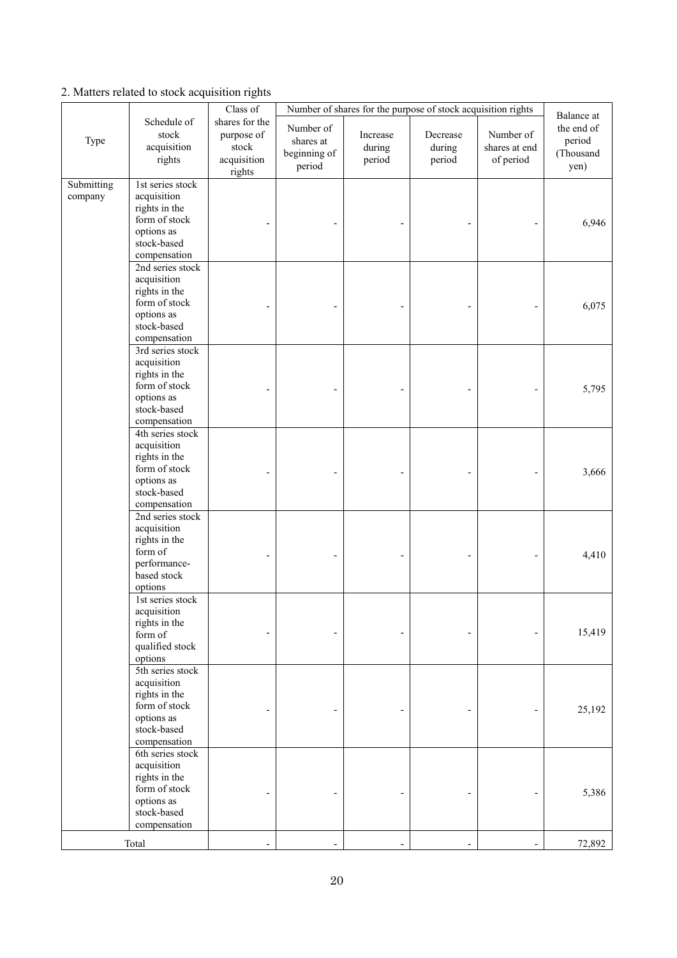## 2. Matters related to stock acquisition rights

|                       |                                                                                                                | Class of                                                       | Number of shares for the purpose of stock acquisition rights |                              |                              |                                         |                                                         |
|-----------------------|----------------------------------------------------------------------------------------------------------------|----------------------------------------------------------------|--------------------------------------------------------------|------------------------------|------------------------------|-----------------------------------------|---------------------------------------------------------|
| Type                  | Schedule of<br>stock<br>acquisition<br>rights                                                                  | shares for the<br>purpose of<br>stock<br>acquisition<br>rights | Number of<br>shares at<br>beginning of<br>period             | Increase<br>during<br>period | Decrease<br>during<br>period | Number of<br>shares at end<br>of period | Balance at<br>the end of<br>period<br>(Thousand<br>yen) |
| Submitting<br>company | 1st series stock<br>acquisition<br>rights in the<br>form of stock<br>options as<br>stock-based<br>compensation |                                                                |                                                              |                              |                              |                                         | 6,946                                                   |
|                       | 2nd series stock<br>acquisition<br>rights in the<br>form of stock<br>options as<br>stock-based<br>compensation |                                                                |                                                              |                              |                              |                                         | 6,075                                                   |
|                       | 3rd series stock<br>acquisition<br>rights in the<br>form of stock<br>options as<br>stock-based<br>compensation |                                                                |                                                              |                              |                              |                                         | 5,795                                                   |
|                       | 4th series stock<br>acquisition<br>rights in the<br>form of stock<br>options as<br>stock-based<br>compensation |                                                                |                                                              |                              |                              |                                         | 3,666                                                   |
|                       | 2nd series stock<br>acquisition<br>rights in the<br>form of<br>performance-<br>based stock<br>options          |                                                                |                                                              |                              |                              |                                         | 4,410                                                   |
|                       | 1st series stock<br>acquisition<br>rights in the<br>form of<br>qualified stock<br>options                      |                                                                |                                                              |                              |                              |                                         | 15,419                                                  |
|                       | 5th series stock<br>acquisition<br>rights in the<br>form of stock<br>options as<br>stock-based<br>compensation |                                                                |                                                              |                              |                              |                                         | 25,192                                                  |
|                       | 6th series stock<br>acquisition<br>rights in the<br>form of stock<br>options as<br>stock-based<br>compensation |                                                                |                                                              |                              |                              |                                         | 5,386                                                   |
|                       | Total                                                                                                          |                                                                |                                                              |                              |                              |                                         | 72,892                                                  |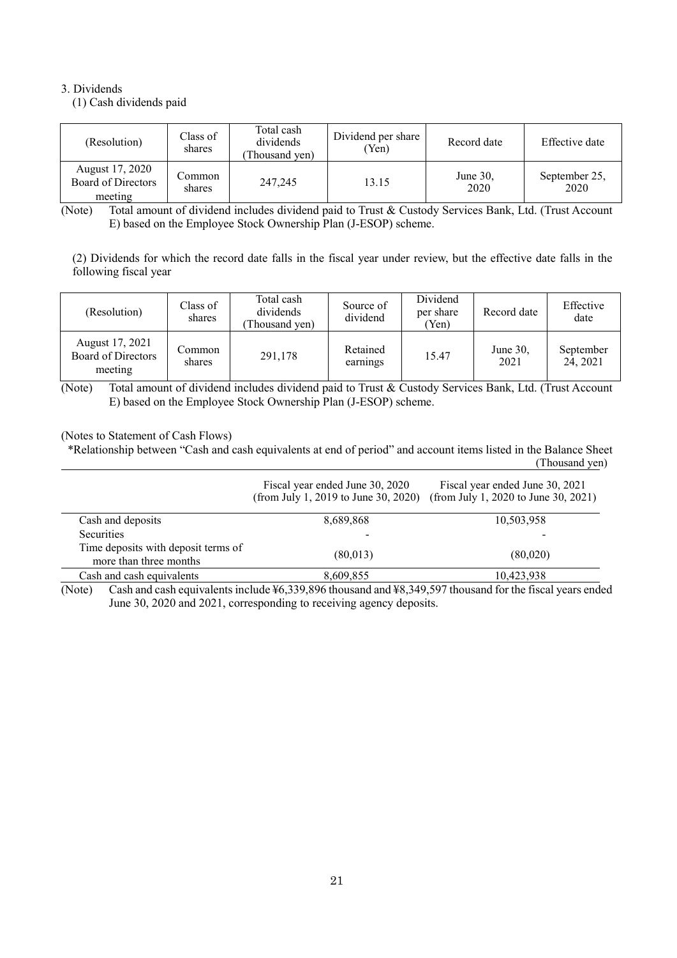## 3. Dividends

(1) Cash dividends paid

| (Resolution)                                     | Class of<br>shares | Total cash<br>dividends<br>Thousand yen) | Dividend per share<br>'Yen) | Record date         | Effective date        |
|--------------------------------------------------|--------------------|------------------------------------------|-----------------------------|---------------------|-----------------------|
| August 17, 2020<br>Board of Directors<br>meeting | Common<br>shares   | 247,245                                  | 13.15                       | June $30$ .<br>2020 | September 25,<br>2020 |

(Note) Total amount of dividend includes dividend paid to Trust & Custody Services Bank, Ltd. (Trust Account E) based on the Employee Stock Ownership Plan (J-ESOP) scheme.

(2) Dividends for which the record date falls in the fiscal year under review, but the effective date falls in the following fiscal year

| (Resolution)                                     | Class of<br>shares | Total cash<br>dividends<br>(Thousand yen) | Source of<br>dividend | Dividend<br>per share<br>(Yen) | Record date         | Effective<br>date     |
|--------------------------------------------------|--------------------|-------------------------------------------|-----------------------|--------------------------------|---------------------|-----------------------|
| August 17, 2021<br>Board of Directors<br>meeting | Common<br>shares   | 291,178                                   | Retained<br>earnings  | 15.47                          | June $30$ .<br>2021 | September<br>24, 2021 |

(Note) Total amount of dividend includes dividend paid to Trust & Custody Services Bank, Ltd. (Trust Account E) based on the Employee Stock Ownership Plan (J-ESOP) scheme.

## (Notes to Statement of Cash Flows)

\*Relationship between "Cash and cash equivalents at end of period" and account items listed in the Balance Sheet (Thousand yen)

|                                                               | Fiscal year ended June 30, 2020<br>(from July 1, 2019 to June 30, 2020) | Fiscal year ended June 30, 2021<br>(from July 1, 2020 to June 30, 2021) |
|---------------------------------------------------------------|-------------------------------------------------------------------------|-------------------------------------------------------------------------|
| Cash and deposits                                             | 8.689.868                                                               | 10,503,958                                                              |
| <b>Securities</b>                                             |                                                                         |                                                                         |
| Time deposits with deposit terms of<br>more than three months | (80,013)                                                                | (80,020)                                                                |
| Cash and cash equivalents                                     | 8,609,855                                                               | 10,423,938                                                              |

(Note) Cash and cash equivalents include ¥6,339,896 thousand and ¥8,349,597 thousand for the fiscal years ended June 30, 2020 and 2021, corresponding to receiving agency deposits.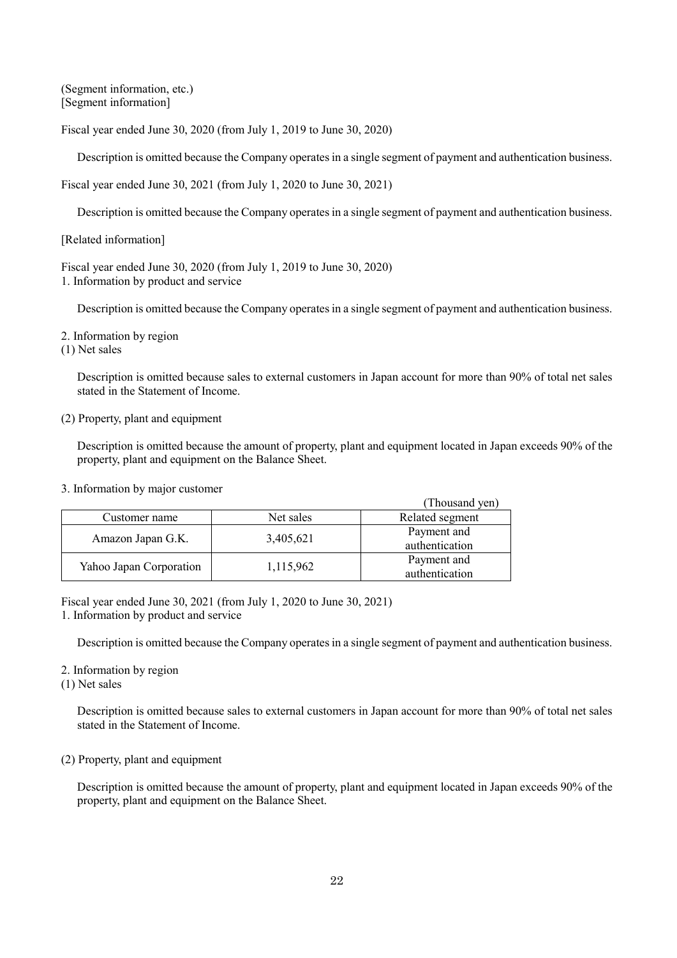(Segment information, etc.) [Segment information]

Fiscal year ended June 30, 2020 (from July 1, 2019 to June 30, 2020)

Description is omitted because the Company operates in a single segment of payment and authentication business.

Fiscal year ended June 30, 2021 (from July 1, 2020 to June 30, 2021)

Description is omitted because the Company operates in a single segment of payment and authentication business.

[Related information]

Fiscal year ended June 30, 2020 (from July 1, 2019 to June 30, 2020) 1. Information by product and service

Description is omitted because the Company operates in a single segment of payment and authentication business.

2. Information by region

(1) Net sales

Description is omitted because sales to external customers in Japan account for more than 90% of total net sales stated in the Statement of Income.

## (2) Property, plant and equipment

Description is omitted because the amount of property, plant and equipment located in Japan exceeds 90% of the property, plant and equipment on the Balance Sheet.

3. Information by major customer

|                         |           | (Thousand yen)                |
|-------------------------|-----------|-------------------------------|
| Customer name           | Net sales | Related segment               |
| Amazon Japan G.K.       | 3,405,621 | Payment and<br>authentication |
| Yahoo Japan Corporation | 1,115,962 | Payment and<br>authentication |

Fiscal year ended June 30, 2021 (from July 1, 2020 to June 30, 2021) 1. Information by product and service

Description is omitted because the Company operates in a single segment of payment and authentication business.

2. Information by region

(1) Net sales

Description is omitted because sales to external customers in Japan account for more than 90% of total net sales stated in the Statement of Income.

## (2) Property, plant and equipment

Description is omitted because the amount of property, plant and equipment located in Japan exceeds 90% of the property, plant and equipment on the Balance Sheet.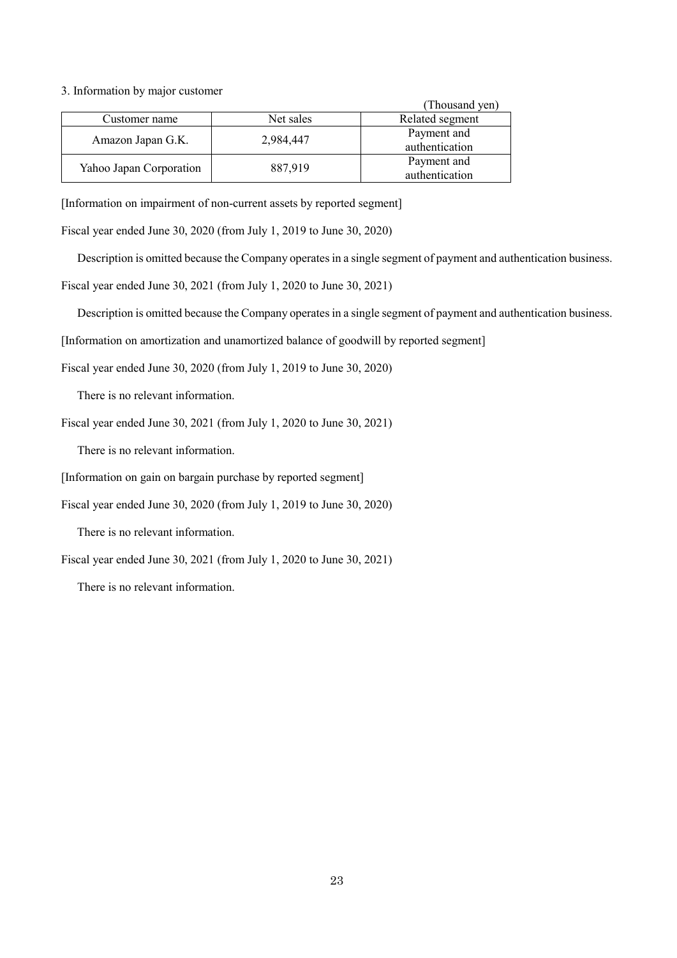3. Information by major customer

|                         |           | (Thousand yen)                |
|-------------------------|-----------|-------------------------------|
| Customer name           | Net sales | Related segment               |
| Amazon Japan G.K.       | 2,984,447 | Payment and<br>authentication |
| Yahoo Japan Corporation | 887,919   | Payment and<br>authentication |

[Information on impairment of non-current assets by reported segment]

Fiscal year ended June 30, 2020 (from July 1, 2019 to June 30, 2020)

Description is omitted because the Company operates in a single segment of payment and authentication business.

Fiscal year ended June 30, 2021 (from July 1, 2020 to June 30, 2021)

Description is omitted because the Company operates in a single segment of payment and authentication business.

[Information on amortization and unamortized balance of goodwill by reported segment]

Fiscal year ended June 30, 2020 (from July 1, 2019 to June 30, 2020)

There is no relevant information.

Fiscal year ended June 30, 2021 (from July 1, 2020 to June 30, 2021)

There is no relevant information.

[Information on gain on bargain purchase by reported segment]

Fiscal year ended June 30, 2020 (from July 1, 2019 to June 30, 2020)

There is no relevant information.

Fiscal year ended June 30, 2021 (from July 1, 2020 to June 30, 2021)

There is no relevant information.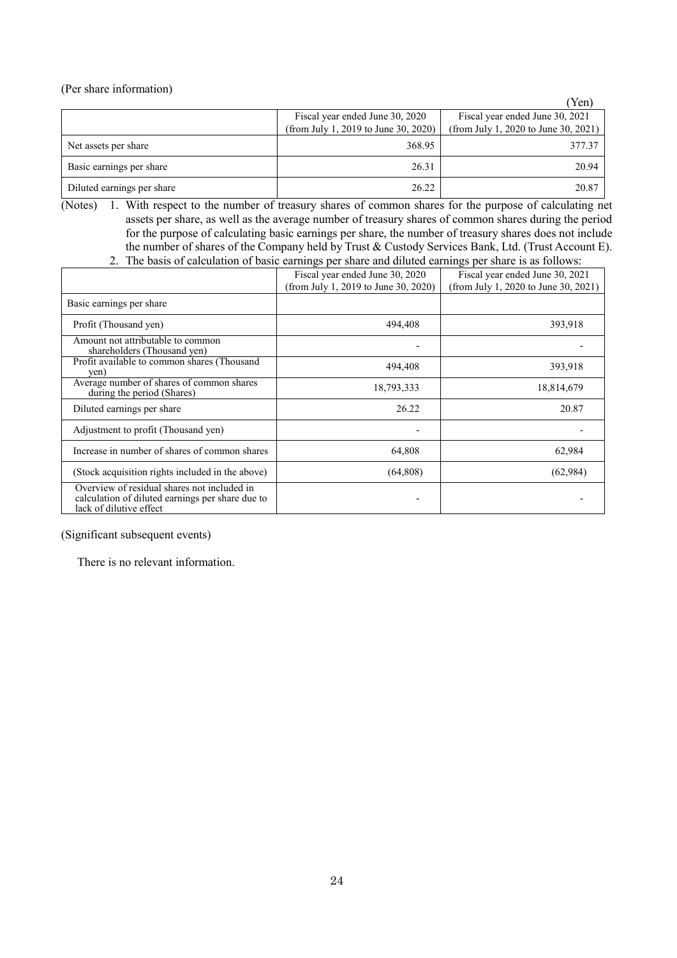(Per share information)

|                            |                                                                         | Yen)                                                                    |
|----------------------------|-------------------------------------------------------------------------|-------------------------------------------------------------------------|
|                            | Fiscal year ended June 30, 2020<br>(from July 1, 2019 to June 30, 2020) | Fiscal year ended June 30, 2021<br>(from July 1, 2020 to June 30, 2021) |
| Net assets per share       | 368.95                                                                  | 377.37                                                                  |
| Basic earnings per share   | 26.31                                                                   | 20.94                                                                   |
| Diluted earnings per share | 26.22                                                                   | 20.87                                                                   |

- (Notes) 1. With respect to the number of treasury shares of common shares for the purpose of calculating net assets per share, as well as the average number of treasury shares of common shares during the period for the purpose of calculating basic earnings per share, the number of treasury shares does not include the number of shares of the Company held by Trust & Custody Services Bank, Ltd. (Trust Account E).
	- 2. The basis of calculation of basic earnings per share and diluted earnings per share is as follows:

|                                                                                                                            | Fiscal year ended June 30, 2020      | Fiscal year ended June 30, 2021      |
|----------------------------------------------------------------------------------------------------------------------------|--------------------------------------|--------------------------------------|
|                                                                                                                            | (from July 1, 2019 to June 30, 2020) | (from July 1, 2020 to June 30, 2021) |
| Basic earnings per share                                                                                                   |                                      |                                      |
| Profit (Thousand yen)                                                                                                      | 494,408                              | 393,918                              |
| Amount not attributable to common<br>shareholders (Thousand yen)                                                           |                                      |                                      |
| Profit available to common shares (Thousand<br>yen)                                                                        | 494,408                              | 393,918                              |
| Average number of shares of common shares<br>during the period (Shares)                                                    | 18,793,333                           | 18,814,679                           |
| Diluted earnings per share                                                                                                 | 26.22                                | 20.87                                |
| Adjustment to profit (Thousand yen)                                                                                        |                                      |                                      |
| Increase in number of shares of common shares                                                                              | 64,808                               | 62,984                               |
| (Stock acquisition rights included in the above)                                                                           | (64,808)                             | (62,984)                             |
| Overview of residual shares not included in<br>calculation of diluted earnings per share due to<br>lack of dilutive effect |                                      |                                      |

(Significant subsequent events)

There is no relevant information.